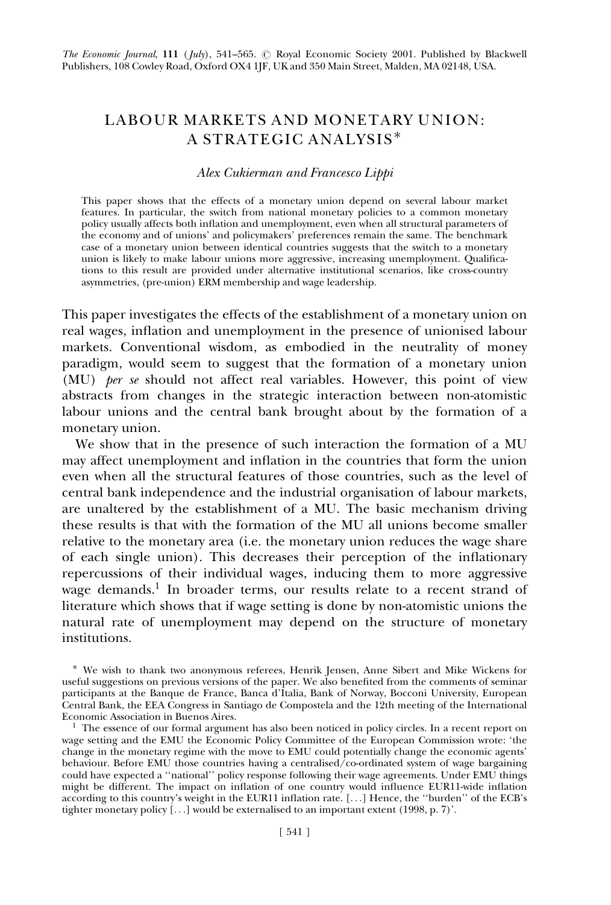# LABOUR MARKETS AND MONETARY UNION: A STRATEGIC ANALYSIS

### Alex Cukierman and Francesco Lippi

This paper shows that the effects of a monetary union depend on several labour market features. In particular, the switch from national monetary policies to a common monetary policy usually affects both inflation and unemployment, even when all structural parameters of the economy and of unions' and policymakers' preferences remain the same. The benchmark case of a monetary union between identical countries suggests that the switch to a monetary union is likely to make labour unions more aggressive, increasing unemployment. Qualifications to this result are provided under alternative institutional scenarios, like cross-country asymmetries, (pre-union) ERM membership and wage leadership.

This paper investigates the effects of the establishment of a monetary union on real wages, inflation and unemployment in the presence of unionised labour markets. Conventional wisdom, as embodied in the neutrality of money paradigm, would seem to suggest that the formation of a monetary union (MU) per se should not affect real variables. However, this point of view abstracts from changes in the strategic interaction between non-atomistic labour unions and the central bank brought about by the formation of a monetary union.

We show that in the presence of such interaction the formation of a MU may affect unemployment and inflation in the countries that form the union even when all the structural features of those countries, such as the level of central bank independence and the industrial organisation of labour markets, are unaltered by the establishment of a MU. The basic mechanism driving these results is that with the formation of the MU all unions become smaller relative to the monetary area (i.e. the monetary union reduces the wage share of each single union). This decreases their perception of the inflationary repercussions of their individual wages, inducing them to more aggressive wage demands.<sup>1</sup> In broader terms, our results relate to a recent strand of literature which shows that if wage setting is done by non-atomistic unions the natural rate of unemployment may depend on the structure of monetary institutions.

We wish to thank two anonymous referees, Henrik Jensen, Anne Sibert and Mike Wickens for useful suggestions on previous versions of the paper. We also benefited from the comments of seminar participants at the Banque de France, Banca d'Italia, Bank of Norway, Bocconi University, European Central Bank, the EEA Congress in Santiago de Compostela and the 12th meeting of the International

 $1$  The essence of our formal argument has also been noticed in policy circles. In a recent report on wage setting and the EMU the Economic Policy Committee of the European Commission wrote: `the change in the monetary regime with the move to EMU could potentially change the economic agents' behaviour. Before EMU those countries having a centralised/co-ordinated system of wage bargaining could have expected a "national" policy response following their wage agreements. Under EMU things might be different. The impact on inflation of one country would influence EUR11-wide inflation according to this country's weight in the EUR11 inflation rate. [...] Hence, the "burden" of the ECB's tighter monetary policy [...] would be externalised to an important extent (1998, p. 7)'.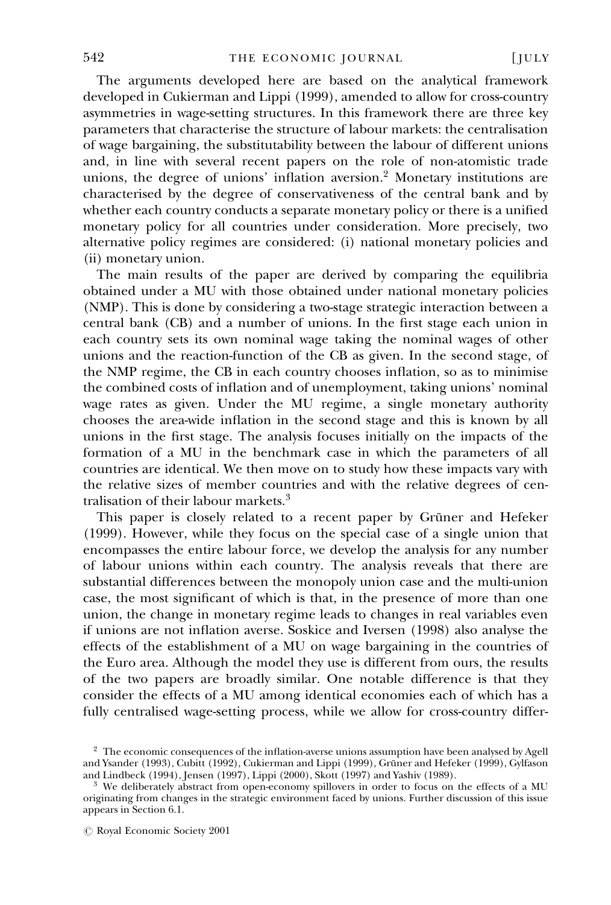The arguments developed here are based on the analytical framework developed in Cukierman and Lippi (1999), amended to allow for cross-country asymmetries in wage-setting structures. In this framework there are three key parameters that characterise the structure of labour markets: the centralisation of wage bargaining, the substitutability between the labour of different unions and, in line with several recent papers on the role of non-atomistic trade unions, the degree of unions' inflation aversion.<sup>2</sup> Monetary institutions are characterised by the degree of conservativeness of the central bank and by whether each country conducts a separate monetary policy or there is a unified monetary policy for all countries under consideration. More precisely, two alternative policy regimes are considered: (i) national monetary policies and (ii) monetary union.

The main results of the paper are derived by comparing the equilibria obtained under a MU with those obtained under national monetary policies (NMP). This is done by considering a two-stage strategic interaction between a central bank (CB) and a number of unions. In the first stage each union in each country sets its own nominal wage taking the nominal wages of other unions and the reaction-function of the CB as given. In the second stage, of the NMP regime, the CB in each country chooses inflation, so as to minimise the combined costs of inflation and of unemployment, taking unions' nominal wage rates as given. Under the MU regime, a single monetary authority chooses the area-wide inflation in the second stage and this is known by all unions in the first stage. The analysis focuses initially on the impacts of the formation of a MU in the benchmark case in which the parameters of all countries are identical. We then move on to study how these impacts vary with the relative sizes of member countries and with the relative degrees of centralisation of their labour markets.<sup>3</sup>

This paper is closely related to a recent paper by Grüner and Hefeker (1999). However, while they focus on the special case of a single union that encompasses the entire labour force, we develop the analysis for any number of labour unions within each country. The analysis reveals that there are substantial differences between the monopoly union case and the multi-union case, the most significant of which is that, in the presence of more than one union, the change in monetary regime leads to changes in real variables even if unions are not inflation averse. Soskice and Iversen (1998) also analyse the effects of the establishment of a MU on wage bargaining in the countries of the Euro area. Although the model they use is different from ours, the results of the two papers are broadly similar. One notable difference is that they consider the effects of a MU among identical economies each of which has a fully centralised wage-setting process, while we allow for cross-country differ-

 $2<sup>2</sup>$  The economic consequences of the inflation-averse unions assumption have been analysed by Agell and Ysander (1993), Cubitt (1992), Cukierman and Lippi (1999), Grüner and Hefeker (1999), Gylfason<br>and Lindbeck (1994), Jensen (1997), Lippi (2000), Skott (1997) and Yashiv (1989).

 $3$  We deliberately abstract from open-economy spillovers in order to focus on the effects of a MU originating from changes in the strategic environment faced by unions. Further discussion of this issue appears in Section 6.1.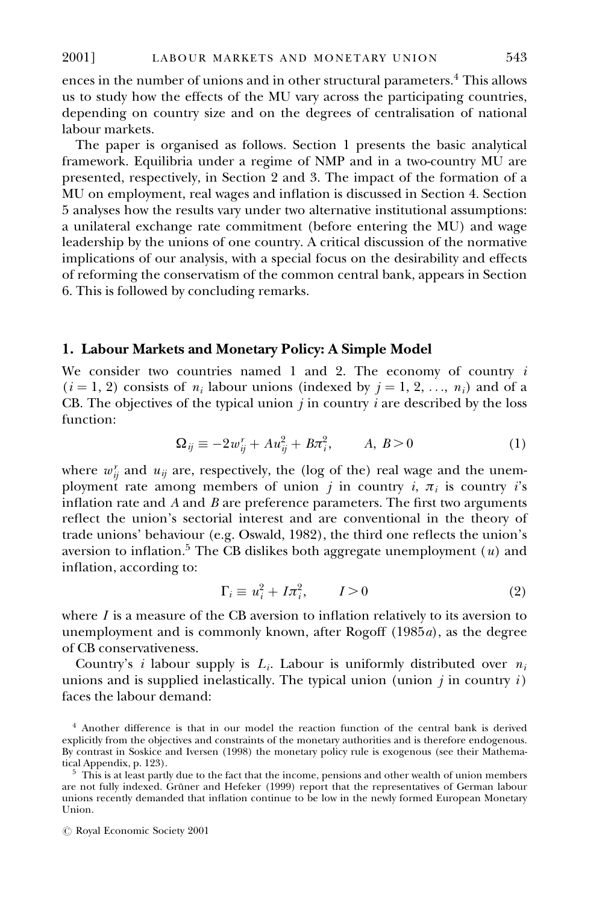ences in the number of unions and in other structural parameters.<sup>4</sup> This allows us to study how the effects of the MU vary across the participating countries, depending on country size and on the degrees of centralisation of national labour markets.

The paper is organised as follows. Section 1 presents the basic analytical framework. Equilibria under a regime of NMP and in a two-country MU are presented, respectively, in Section 2 and 3. The impact of the formation of a MU on employment, real wages and inflation is discussed in Section 4. Section 5 analyses how the results vary under two alternative institutional assumptions: a unilateral exchange rate commitment (before entering the MU) and wage leadership by the unions of one country. A critical discussion of the normative implications of our analysis, with a special focus on the desirability and effects of reforming the conservatism of the common central bank, appears in Section 6. This is followed by concluding remarks.

### 1. Labour Markets and Monetary Policy: A Simple Model

We consider two countries named 1 and 2. The economy of country  $i$  $(i = 1, 2)$  consists of  $n_i$  labour unions (indexed by  $j = 1, 2, ..., n_i$ ) and of a CB. The objectives of the typical union  $j$  in country  $i$  are described by the loss function:

$$
\Omega_{ij} \equiv -2w_{ij}^r + Au_{ij}^2 + B\pi_i^2, \qquad A, B > 0 \tag{1}
$$

where  $w_{ij}^r$  and  $u_{ij}$  are, respectively, the (log of the) real wage and the unemployment rate among members of union j in country i,  $\pi_i$  is country i's inflation rate and  $A$  and  $B$  are preference parameters. The first two arguments reflect the union's sectorial interest and are conventional in the theory of trade unions' behaviour (e.g. Oswald,  $1982$ ), the third one reflects the union's aversion to inflation.<sup>5</sup> The CB dislikes both aggregate unemployment (u) and inflation, according to:

$$
\Gamma_i \equiv u_i^2 + I\pi_i^2, \qquad I > 0 \tag{2}
$$

where  $I$  is a measure of the CB aversion to inflation relatively to its aversion to unemployment and is commonly known, after Rogoff (1985a), as the degree of CB conservativeness.

Country's *i* labour supply is  $L_i$ . Labour is uniformly distributed over  $n_i$ unions and is supplied inelastically. The typical union (union  $j$  in country  $i$ ) faces the labour demand:

<sup>4</sup> Another difference is that in our model the reaction function of the central bank is derived explicitly from the objectives and constraints of the monetary authorities and is therefore endogenous. By contrast in Soskice and Iversen (1998) the monetary policy rule is exogenous (see their Mathematical Appendix, p. 123).<br><sup>5</sup> This is at least partly due to the fact that the income, pensions and other wealth of union members

are not fully indexed. Grüner and Hefeker (1999) report that the representatives of German labour unions recently demanded that inflation continue to be low in the newly formed European Monetary Union.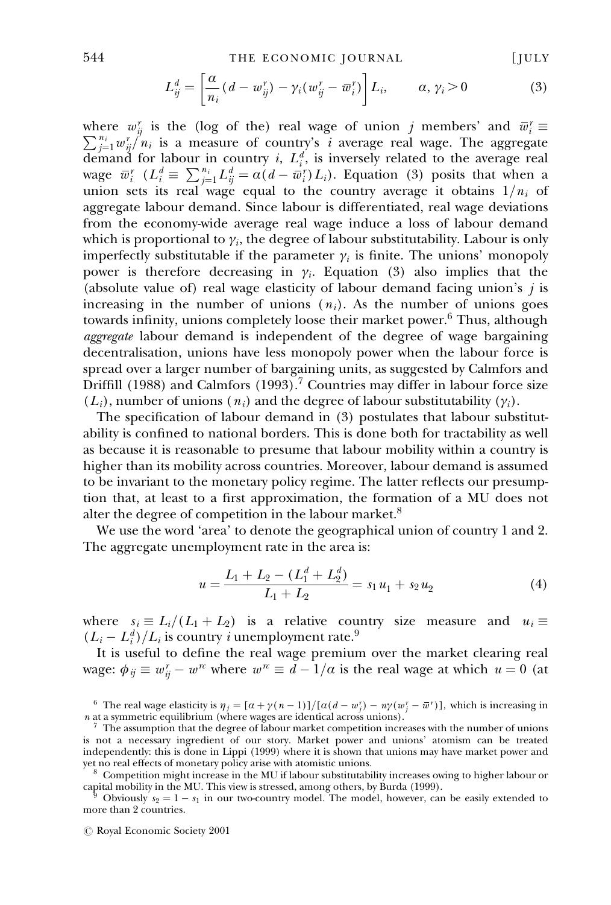$$
L_{ij}^d = \left[ \frac{\alpha}{n_i} (d - w_{ij}^r) - \gamma_i (w_{ij}^r - \overline{w}_i^r) \right] L_i, \qquad \alpha, \gamma_i > 0 \tag{3}
$$

where  $w_j^r$  is the (log of the) real wage of union j members' and  $\overline{w}_i^r \equiv \sum_{i=1}^{n_i} w_i^r / n$ , is a measure of country's *i* average real wage. The aggregate  $\sum_{j=1}^{n_i} w_{ij}^r / n_i$  is a measure of country's i average real wage. The aggregate demand for labour in country *i*,  $L_i^d$ , is inversely related to the average real wage  $\bar{w}_i^r$  ( $L_i^d \equiv \sum_{j=1}^{n_i} L_{ij}^d = \alpha(d - \bar{w}_i^r) L_i$ ). Equation (3) posits that when a union sets its real wage equal to the country average it obtains  $1/n_i$  of aggregate labour demand. Since labour is differentiated, real wage deviations from the economy-wide average real wage induce a loss of labour demand which is proportional to  $\gamma_i$ , the degree of labour substitutability. Labour is only imperfectly substitutable if the parameter  $y_i$  is finite. The unions' monopoly power is therefore decreasing in  $\gamma_i$ . Equation (3) also implies that the (absolute value of) real wage elasticity of labour demand facing union's  $j$  is increasing in the number of unions  $(n_i)$ . As the number of unions goes towards infinity, unions completely loose their market power.<sup>6</sup> Thus, although aggregate labour demand is independent of the degree of wage bargaining decentralisation, unions have less monopoly power when the labour force is spread over a larger number of bargaining units, as suggested by Calmfors and Driffill (1988) and Calmfors (1993).<sup>7</sup> Countries may differ in labour force size  $(L_i)$ , number of unions  $(n_i)$  and the degree of labour substitutability  $(\gamma_i)$ .

The specification of labour demand in  $(3)$  postulates that labour substitutability is confined to national borders. This is done both for tractability as well as because it is reasonable to presume that labour mobility within a country is higher than its mobility across countries. Moreover, labour demand is assumed to be invariant to the monetary policy regime. The latter reflects our presumption that, at least to a first approximation, the formation of a MU does not alter the degree of competition in the labour market. $8$ 

We use the word 'area' to denote the geographical union of country 1 and 2. The aggregate unemployment rate in the area is:

$$
u = \frac{L_1 + L_2 - (L_1^d + L_2^d)}{L_1 + L_2} = s_1 u_1 + s_2 u_2 \tag{4}
$$

where  $s_i \equiv L_i/(L_1 + L_2)$  is a relative country size measure and  $u_i \equiv$  $(L_i - L_i^d)/L_i$  is country *i* unemployment rate.<sup>9</sup>

It is useful to define the real wage premium over the market clearing real wage:  $\phi_{ij} \equiv w_{ij}^r - w^{rc}$  where  $w^{rc} \equiv d - 1/a$  is the real wage at which  $u = 0$  (at

<sup>6</sup> The real wage elasticity is  $\eta_j = [\alpha + \gamma(n-1)]/[\alpha(d - w_j^r) - n\gamma(w_j^r - \overline{w}^r)]$ , which is increasing in n at a symmetric equilibrium (where wages are identical across unions).

capital mobility in the MU. This view is stressed, among others, by Burda (1999).<br><sup>9</sup> Obviously  $s_2 = 1 - s_1$  in our two-country model. The model, however, can be easily extended to

more than 2 countries.

 $^7\,$  The assumption that the degree of labour market competition increases with the number of unions is not a necessary ingredient of our story. Market power and unions' atomism can be treated independently: this is done in Lippi (1999) where it is shown that unions may have market power and yet no real effects of monetary policy arise with atomistic unions. <sup>8</sup> Competition might increase in the MU if labour substitutability increases owing to higher labour or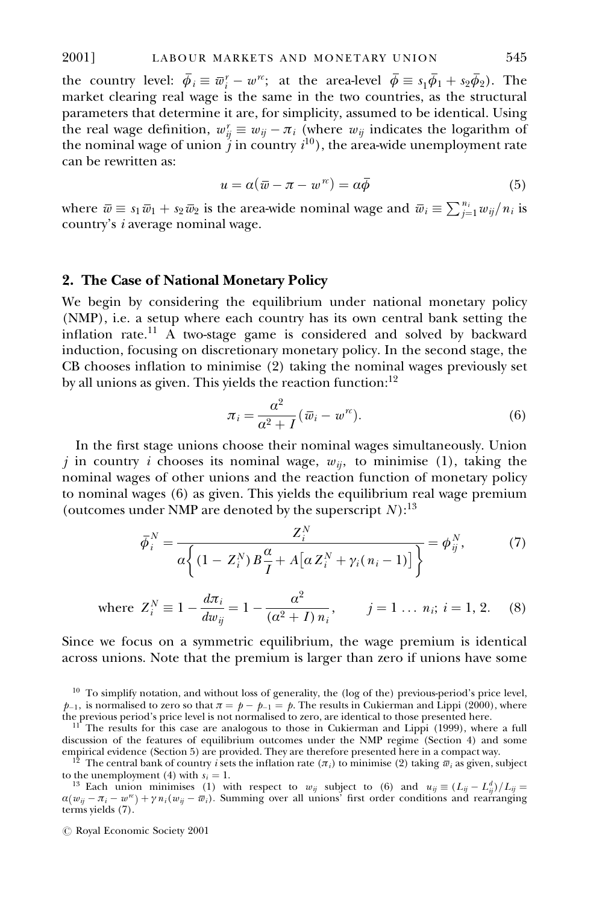the country level:  $\bar{\phi}_i \equiv \bar{w}_i^r - w^r$ ; at the area-level  $\bar{\phi} \equiv s_1 \bar{\phi}_1 + s_2 \bar{\phi}_2$ ). The market clearing real wage is the same in the two countries, as the structural parameters that determine it are, for simplicity, assumed to be identical. Using the real wage definition,  $w_{ij}^r \equiv w_{ij} - \pi_i$  (where  $w_{ij}$  indicates the logarithm of the nominal wage of union  $j$  in country  $i^{10}$ ), the area-wide unemployment rate can be rewritten as:

$$
u = \alpha(\overline{w} - \pi - w^{\kappa}) = \alpha \overline{\phi}
$$
 (5)

where  $\bar{w} \equiv s_1 \bar{w}_1 + s_2 \bar{w}_2$  is the area-wide nominal wage and  $\bar{w}_i \equiv \sum_{j=1}^{n_i} w_{ij}/n_i$  is country's i average nominal wage.

### 2. The Case of National Monetary Policy

We begin by considering the equilibrium under national monetary policy (NMP), i.e. a setup where each country has its own central bank setting the inflation rate.<sup>11</sup> A two-stage game is considered and solved by backward induction, focusing on discretionary monetary policy. In the second stage, the  $CB$  chooses inflation to minimise  $(2)$  taking the nominal wages previously set by all unions as given. This yields the reaction function:<sup>12</sup>

$$
\pi_i = \frac{\alpha^2}{\alpha^2 + I} (\overline{w}_i - w^{\prime c}). \tag{6}
$$

In the first stage unions choose their nominal wages simultaneously. Union j in country i chooses its nominal wage,  $w_{ij}$ , to minimise (1), taking the nominal wages of other unions and the reaction function of monetary policy to nominal wages (6) as given. This yields the equilibrium real wage premium (outcomes under NMP are denoted by the superscript  $N$ ):<sup>13</sup>

$$
\overline{\phi}_i^N = \frac{Z_i^N}{\alpha \left\{ (1 - Z_i^N) B \frac{\alpha}{I} + A[\alpha Z_i^N + \gamma_i(n_i - 1)] \right\}} = \phi_{ij}^N, \tag{7}
$$

where 
$$
Z_i^N \equiv 1 - \frac{d\pi_i}{dw_{ij}} = 1 - \frac{a^2}{(a^2 + I) n_i}
$$
,  $j = 1 ... n_i$ ;  $i = 1, 2$ . (8)

Since we focus on a symmetric equilibrium, the wage premium is identical across unions. Note that the premium is larger than zero if unions have some

<sup>11</sup> The results for this case are analogous to those in Cukierman and Lippi (1999), where a full discussion of the features of equilibrium outcomes under the NMP regime (Section 4) and some

empirical evidence (Section 5) are provided. They are therefore presented here in a compact way.<br><sup>12</sup> The central bank of country *i* sets the inflation rate ( $\pi_i$ ) to minimise (2) taking  $\bar{w}_i$  as given, subject to th

<sup>&</sup>lt;sup>10</sup> To simplify notation, and without loss of generality, the (log of the) previous-period's price level,  $p_{-1}$ , is normalised to zero so that  $\pi = p - p_{-1} = p$ . The results in Cukierman and Lippi (2000), where the previous period's price level is not normalised to zero, are identical to those presented here.

to the unemployment (4) with  $s_i = 1$ .<br><sup>13</sup> Each union minimises (1) with respect to  $w_{ij}$  subject to (6) and  $u_{ij} \equiv (L_{ij} - L_{ij}^d)/L_{ij} =$  $a(w_{ii} - \pi_i - w^{i}) + \gamma n_i(w_{ii} - \bar{w}_i)$ . Summing over all unions' first order conditions and rearranging terms yields (7).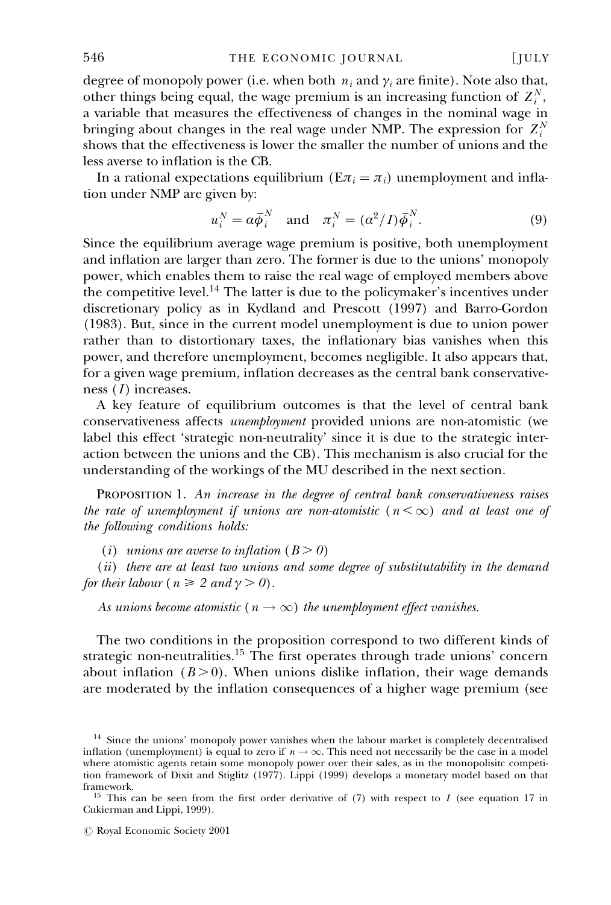degree of monopoly power (i.e. when both  $n_i$  and  $\gamma_i$  are finite). Note also that, other things being equal, the wage premium is an increasing function of  $Z_i^N$ , a variable that measures the effectiveness of changes in the nominal wage in bringing about changes in the real wage under NMP. The expression for  $Z_i^N$ shows that the effectiveness is lower the smaller the number of unions and the less averse to inflation is the CB.

In a rational expectations equilibrium ( $E \pi_i = \pi_i$ ) unemployment and inflation under NMP are given by:

$$
u_i^N = a\overline{\phi}_i^N \quad \text{and} \quad \pi_i^N = (a^2/I)\overline{\phi}_i^N. \tag{9}
$$

Since the equilibrium average wage premium is positive, both unemployment and inflation are larger than zero. The former is due to the unions' monopoly power, which enables them to raise the real wage of employed members above the competitive level.<sup>14</sup> The latter is due to the policymaker's incentives under discretionary policy as in Kydland and Prescott (1997) and Barro-Gordon (1983). But, since in the current model unemployment is due to union power rather than to distortionary taxes, the inflationary bias vanishes when this power, and therefore unemployment, becomes negligible. It also appears that, for a given wage premium, inflation decreases as the central bank conservativeness  $(I)$  increases.

A key feature of equilibrium outcomes is that the level of central bank conservativeness affects unemployment provided unions are non-atomistic (we label this effect 'strategic non-neutrality' since it is due to the strategic interaction between the unions and the CB). This mechanism is also crucial for the understanding of the workings of the MU described in the next section.

PROPOSITION 1. An increase in the degree of central bank conservativeness raises the rate of unemployment if unions are non-atomistic  $(n < \infty)$  and at least one of the following conditions holds:

(i) unions are averse to inflation  $(B > 0)$ 

(ii) there are at least two unions and some degree of substitutability in the demand for their labour ( $n \geq 2$  and  $\gamma > 0$ ).

As unions become atomistic ( $n \to \infty$ ) the unemployment effect vanishes.

The two conditions in the proposition correspond to two different kinds of strategic non-neutralities.<sup>15</sup> The first operates through trade unions' concern about inflation ( $B > 0$ ). When unions dislike inflation, their wage demands are moderated by the inflation consequences of a higher wage premium (see

<sup>&</sup>lt;sup>14</sup> Since the unions' monopoly power vanishes when the labour market is completely decentralised inflation (unemployment) is equal to zero if  $n \to \infty$ . This need not necessarily be the case in a model where atomistic agents retain some monopoly power over their sales, as in the monopolisitc competition framework of Dixit and Stiglitz (1977). Lippi (1999) develops a monetary model based on that framework.<br><sup>15</sup> This can be seen from the first order derivative of (7) with respect to *I* (see equation 17 in

Cukierman and Lippi, 1999).

 $\oslash$  Royal Economic Society 2001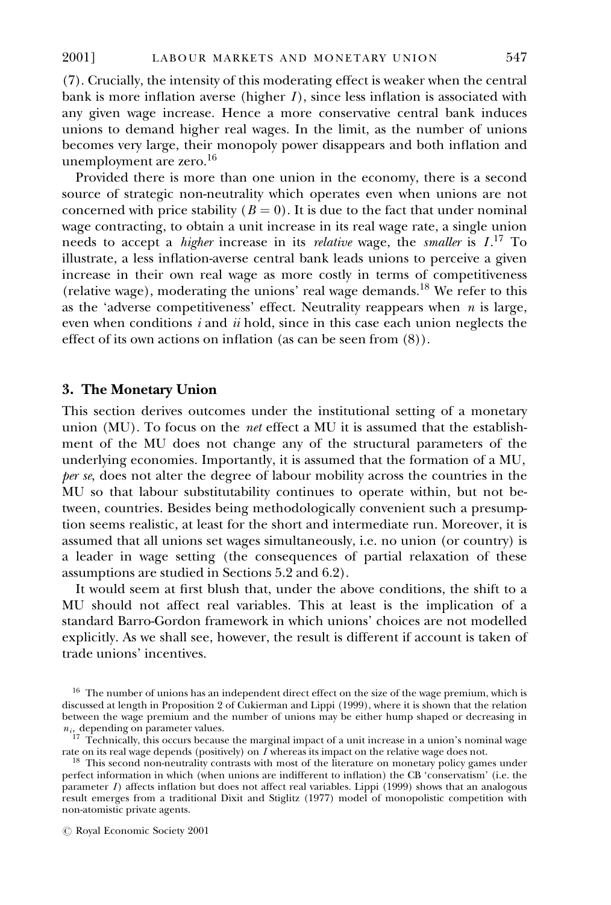(7). Crucially, the intensity of this moderating effect is weaker when the central bank is more inflation averse (higher  $I$ ), since less inflation is associated with any given wage increase. Hence a more conservative central bank induces unions to demand higher real wages. In the limit, as the number of unions becomes very large, their monopoly power disappears and both inflation and unemployment are zero.<sup>16</sup>

Provided there is more than one union in the economy, there is a second source of strategic non-neutrality which operates even when unions are not concerned with price stability ( $B = 0$ ). It is due to the fact that under nominal wage contracting, to obtain a unit increase in its real wage rate, a single union needs to accept a *higher* increase in its *relative* wage, the *smaller* is  $I^{17}$  To illustrate, a less inflation-averse central bank leads unions to perceive a given increase in their own real wage as more costly in terms of competitiveness (relative wage), moderating the unions' real wage demands.<sup>18</sup> We refer to this as the 'adverse competitiveness' effect. Neutrality reappears when  $n$  is large, even when conditions *i* and *ii* hold, since in this case each union neglects the effect of its own actions on inflation (as can be seen from  $(8)$ ).

### 3. The Monetary Union

This section derives outcomes under the institutional setting of a monetary union (MU). To focus on the *net* effect a MU it is assumed that the establishment of the MU does not change any of the structural parameters of the underlying economies. Importantly, it is assumed that the formation of a MU, per se, does not alter the degree of labour mobility across the countries in the MU so that labour substitutability continues to operate within, but not between, countries. Besides being methodologically convenient such a presumption seems realistic, at least for the short and intermediate run. Moreover, it is assumed that all unions set wages simultaneously, i.e. no union (or country) is a leader in wage setting (the consequences of partial relaxation of these assumptions are studied in Sections 5.2 and 6.2).

It would seem at first blush that, under the above conditions, the shift to a MU should not affect real variables. This at least is the implication of a standard Barro-Gordon framework in which unions' choices are not modelled explicitly. As we shall see, however, the result is different if account is taken of trade unions' incentives.

<sup>&</sup>lt;sup>16</sup> The number of unions has an independent direct effect on the size of the wage premium, which is discussed at length in Proposition 2 of Cukierman and Lippi (1999), where it is shown that the relation between the wage premium and the number of unions may be either hump shaped or decreasing in  $n_i$ , depending on parameter values.<br><sup>17</sup> Technically, this occurs because the marginal impact of a unit increase in a union's nominal wage

rate on its real wage depends (positively) on  $\overline{I}$  whereas its impact on the relative wage does not. <sup>18</sup> This second non-neutrality contrasts with most of the literature on monetary policy games under

perfect information in which (when unions are indifferent to inflation) the CB 'conservatism' (i.e. the parameter I) affects inflation but does not affect real variables. Lippi (1999) shows that an analogous result emerges from a traditional Dixit and Stiglitz (1977) model of monopolistic competition with non-atomistic private agents.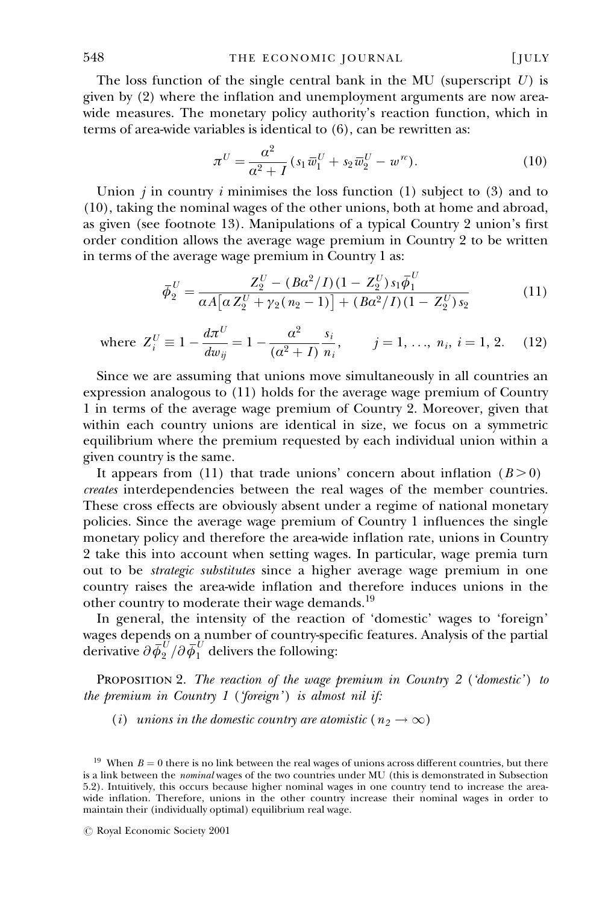The loss function of the single central bank in the MU (superscript  $U$ ) is given by (2) where the inflation and unemployment arguments are now areawide measures. The monetary policy authority's reaction function, which in terms of area-wide variables is identical to (6), can be rewritten as:

$$
\pi^{U} = \frac{\alpha^{2}}{\alpha^{2} + I} (s_{1} \overline{w}_{1}^{U} + s_{2} \overline{w}_{2}^{U} - w^{r}).
$$
\n(10)

Union  $j$  in country i minimises the loss function (1) subject to (3) and to (10), taking the nominal wages of the other unions, both at home and abroad, as given (see footnote 13). Manipulations of a typical Country  $2$  union's first order condition allows the average wage premium in Country 2 to be written in terms of the average wage premium in Country 1 as:

$$
\bar{\phi}_2^U = \frac{Z_2^U - (B\alpha^2/I)(1 - Z_2^U)s_1\bar{\phi}_1^U}{\alpha A[\alpha Z_2^U + \gamma_2(n_2 - 1)] + (B\alpha^2/I)(1 - Z_2^U)s_2}
$$
(11)

where 
$$
Z_i^U \equiv 1 - \frac{d\pi^U}{dw_{ij}} = 1 - \frac{a^2}{(a^2 + I)} \frac{s_i}{n_i}
$$
,  $j = 1, ..., n_i$ ,  $i = 1, 2$ . (12)

Since we are assuming that unions move simultaneously in all countries an expression analogous to (11) holds for the average wage premium of Country 1 in terms of the average wage premium of Country 2. Moreover, given that within each country unions are identical in size, we focus on a symmetric equilibrium where the premium requested by each individual union within a given country is the same.

It appears from (11) that trade unions' concern about inflation  $(B>0)$ creates interdependencies between the real wages of the member countries. These cross effects are obviously absent under a regime of national monetary policies. Since the average wage premium of Country 1 influences the single monetary policy and therefore the area-wide inflation rate, unions in Country 2 take this into account when setting wages. In particular, wage premia turn out to be strategic substitutes since a higher average wage premium in one country raises the area-wide inflation and therefore induces unions in the other country to moderate their wage demands.<sup>19</sup>

In general, the intensity of the reaction of `domestic' wages to `foreign' wages depends on a number of country-specific features. Analysis of the partial derivative  $\partial \bar{\phi}_2^U / \partial \bar{\phi}_1^U$  delivers the following:

PROPOSITION 2. The reaction of the wage premium in Country 2 ('domestic') to the premium in Country  $1$  ('foreign') is almost nil if:

(i) unions in the domestic country are atomistic ( $n_2 \rightarrow \infty$ )

<sup>&</sup>lt;sup>19</sup> When  $B = 0$  there is no link between the real wages of unions across different countries, but there is a link between the nominal wages of the two countries under MU (this is demonstrated in Subsection 5.2). Intuitively, this occurs because higher nominal wages in one country tend to increase the areawide inflation. Therefore, unions in the other country increase their nominal wages in order to maintain their (individually optimal) equilibrium real wage.

 $\oslash$  Royal Economic Society 2001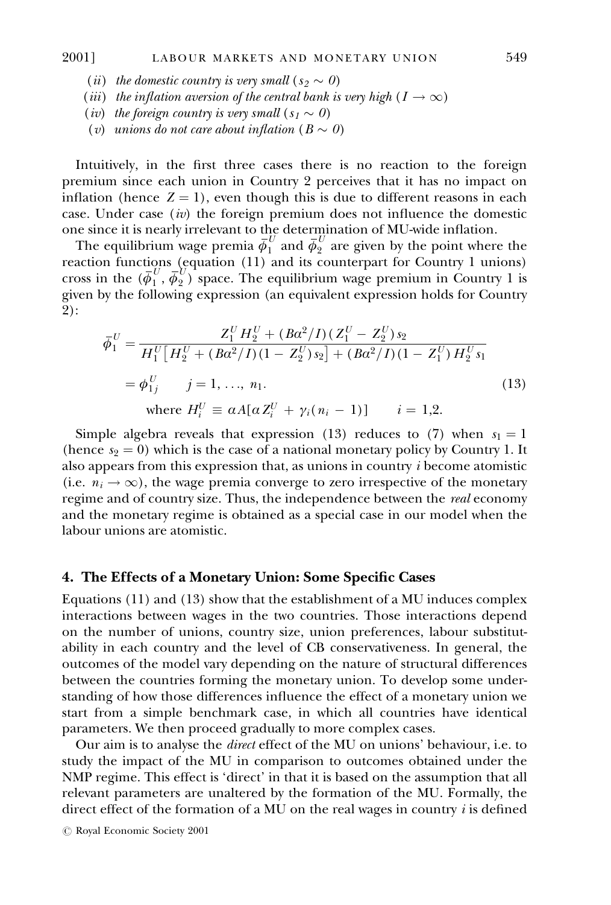- (*ii*) the domestic country is very small ( $s_2 \sim 0$ )
- (iii) the inflation aversion of the central bank is very high  $(I \to \infty)$
- (*iv*) the foreign country is very small  $(s_1 \sim 0)$
- (v) unions do not care about inflation ( $B \sim 0$ )

Intuitively, in the first three cases there is no reaction to the foreign premium since each union in Country 2 perceives that it has no impact on inflation (hence  $Z = 1$ ), even though this is due to different reasons in each case. Under case  $(iv)$  the foreign premium does not influence the domestic one since it is nearly irrelevant to the determination of MU-wide inflation.

The equilibrium wage premia  ${\bar \phi}_1^U$  and  ${\bar \phi}_2^U$  are given by the point where the reaction functions (equation (11) and its counterpart for Country 1 unions) cross in the  $(\bar{\phi}_1^U, \bar{\phi}_2^U)$  space. The equilibrium wage premium in Country 1 is given by the following expression (an equivalent expression holds for Country 2):

$$
\bar{\phi}_1^U = \frac{Z_1^U H_2^U + (B\alpha^2/I)(Z_1^U - Z_2^U)s_2}{H_1^U[H_2^U + (B\alpha^2/I)(1 - Z_2^U)s_2] + (B\alpha^2/I)(1 - Z_1^U)H_2^U s_1}
$$
\n
$$
= \phi_{1j}^U \qquad j = 1, ..., n_1. \tag{13}
$$
\n
$$
\text{where } H_i^U \equiv \alpha A[\alpha Z_i^U + \gamma_i(n_i - 1)] \qquad i = 1, 2.
$$

Simple algebra reveals that expression (13) reduces to (7) when  $s_1 = 1$ (hence  $s_2 = 0$ ) which is the case of a national monetary policy by Country 1. It also appears from this expression that, as unions in country  $i$  become atomistic (i.e.  $n_i \rightarrow \infty$ ), the wage premia converge to zero irrespective of the monetary regime and of country size. Thus, the independence between the *real* economy and the monetary regime is obtained as a special case in our model when the labour unions are atomistic.

#### 4. The Effects of a Monetary Union: Some Specific Cases

Equations (11) and (13) show that the establishment of a MU induces complex interactions between wages in the two countries. Those interactions depend on the number of unions, country size, union preferences, labour substitutability in each country and the level of CB conservativeness. In general, the outcomes of the model vary depending on the nature of structural differences between the countries forming the monetary union. To develop some understanding of how those differences influence the effect of a monetary union we start from a simple benchmark case, in which all countries have identical parameters. We then proceed gradually to more complex cases.

Our aim is to analyse the direct effect of the MU on unions' behaviour, i.e. to study the impact of the MU in comparison to outcomes obtained under the NMP regime. This effect is 'direct' in that it is based on the assumption that all relevant parameters are unaltered by the formation of the MU. Formally, the direct effect of the formation of a MU on the real wages in country  $i$  is defined

 $\oslash$  Royal Economic Society 2001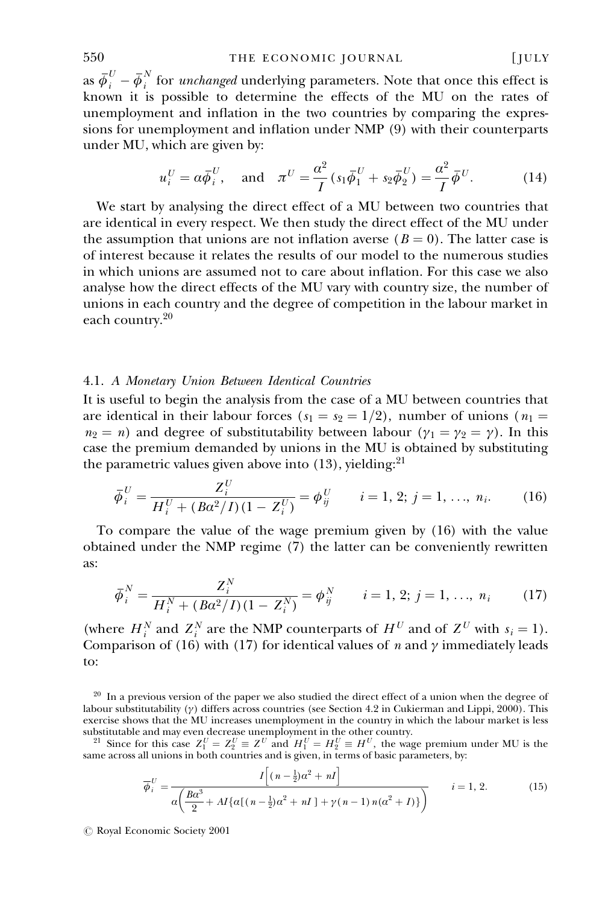as  ${\bar \phi}_i^U-{\bar \phi}_i^N$  for *unchanged* underlying parameters. Note that once this effect is known it is possible to determine the effects of the MU on the rates of unemployment and inflation in the two countries by comparing the expressions for unemployment and inflation under NMP  $(9)$  with their counterparts under MU, which are given by:

$$
u_i^U = \alpha \bar{\phi}_i^U
$$
, and  $\pi^U = \frac{\alpha^2}{I} (s_1 \bar{\phi}_1^U + s_2 \bar{\phi}_2^U) = \frac{\alpha^2}{I} \bar{\phi}^U$ . (14)

We start by analysing the direct effect of a MU between two countries that are identical in every respect. We then study the direct effect of the MU under the assumption that unions are not inflation averse ( $B = 0$ ). The latter case is of interest because it relates the results of our model to the numerous studies in which unions are assumed not to care about inflation. For this case we also analyse how the direct effects of the MU vary with country size, the number of unions in each country and the degree of competition in the labour market in each country.20

### 4.1. A Monetary Union Between Identical Countries

It is useful to begin the analysis from the case of a MU between countries that are identical in their labour forces ( $s_1 = s_2 = 1/2$ ), number of unions ( $n_1 =$  $n_2 = n$ ) and degree of substitutability between labour  $(\gamma_1 = \gamma_2 = \gamma)$ . In this case the premium demanded by unions in the MU is obtained by substituting the parametric values given above into  $(13)$ , yielding:<sup>21</sup>

$$
\bar{\phi}_i^U = \frac{Z_i^U}{H_i^U + (B\alpha^2/I)(1 - Z_i^U)} = \phi_{ij}^U \qquad i = 1, 2; j = 1, ..., n_i.
$$
 (16)

To compare the value of the wage premium given by (16) with the value obtained under the NMP regime (7) the latter can be conveniently rewritten as:

$$
\bar{\phi}_i^N = \frac{Z_i^N}{H_i^N + (B\alpha^2/I)(1 - Z_i^N)} = \phi_{ij}^N \qquad i = 1, 2; j = 1, ..., n_i \qquad (17)
$$

(where  $H_i^N$  and  $Z_i^N$  are the NMP counterparts of  $H^U$  and of  $Z^U$  with  $s_i = 1$ ). Comparison of (16) with (17) for identical values of n and  $\gamma$  immediately leads to:

<sup>20</sup> In a previous version of the paper we also studied the direct effect of a union when the degree of labour substitutability  $(\gamma)$  differs across countries (see Section 4.2 in Cukierman and Lippi, 2000). This exercise shows that the MU increases unemployment in the country in which the labour market is less

substitutable and may even decrease unemployment in the other country.<br><sup>21</sup> Since for this case  $Z_1^U = Z_2^U \equiv Z^U$  and  $H_1^U = H_2^U \equiv H^U$ , the wage premium under MU is the same across all unions in both countries and is g

$$
\overline{\phi}_i^U = \frac{I\left[ (n - \frac{1}{2})\alpha^2 + nI \right]}{\alpha \left( \frac{B\alpha^3}{2} + A I \{ \alpha \left[ (n - \frac{1}{2})\alpha^2 + nI \right] + \gamma (n - 1) n (\alpha^2 + I) \} \right)}
$$
   
  $i = 1, 2.$  (15)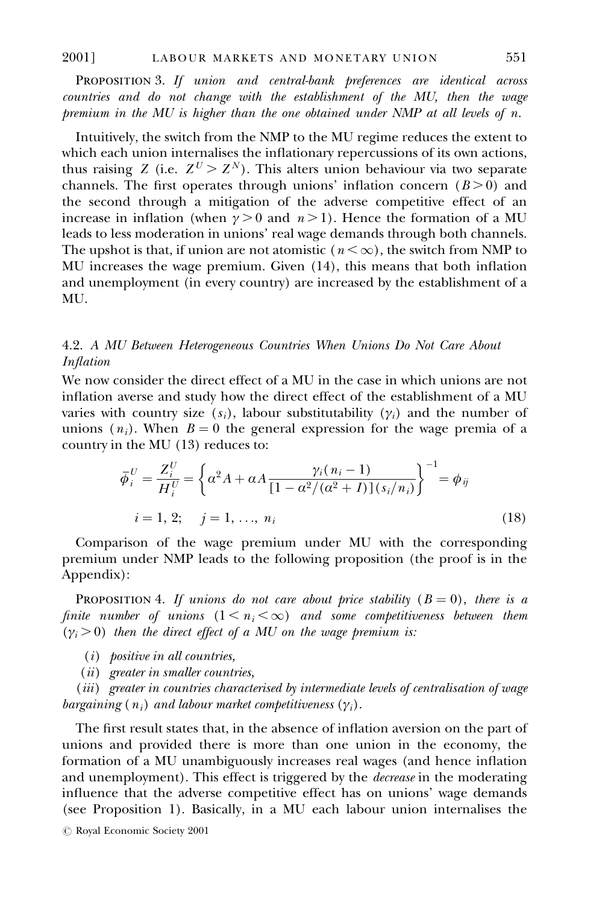Proposition 3. If union and central-bank preferences are identical across countries and do not change with the establishment of the MU, then the wage premium in the MU is higher than the one obtained under NMP at all levels of n.

Intuitively, the switch from the NMP to the MU regime reduces the extent to which each union internalises the inflationary repercussions of its own actions, thus raising Z (i.e.  $Z^U > Z^N$ ). This alters union behaviour via two separate channels. The first operates through unions' inflation concern  $(B > 0)$  and the second through a mitigation of the adverse competitive effect of an increase in inflation (when  $\gamma > 0$  and  $n > 1$ ). Hence the formation of a MU leads to less moderation in unions' real wage demands through both channels. The upshot is that, if union are not atomistic ( $n < \infty$ ), the switch from NMP to MU increases the wage premium. Given  $(14)$ , this means that both inflation and unemployment (in every country) are increased by the establishment of a MU.

# 4.2. A MU Between Heterogeneous Countries When Unions Do Not Care About Inflation

We now consider the direct effect of a MU in the case in which unions are not inflation averse and study how the direct effect of the establishment of a MU varies with country size  $(s_i)$ , labour substitutability  $(\gamma_i)$  and the number of unions  $(n_i)$ . When  $B = 0$  the general expression for the wage premia of a country in the MU (13) reduces to:

$$
\bar{\phi}_i^U = \frac{Z_i^U}{H_i^U} = \left\{ \alpha^2 A + \alpha A \frac{\gamma_i (n_i - 1)}{[1 - \alpha^2/(\alpha^2 + I)] (s_i/n_i)} \right\}^{-1} = \phi_{ij}
$$
\n
$$
i = 1, 2; \quad j = 1, ..., n_i
$$
\n(18)

Comparison of the wage premium under MU with the corresponding premium under NMP leads to the following proposition (the proof is in the Appendix):

PROPOSITION 4. If unions do not care about price stability  $(B = 0)$ , there is a finite number of unions  $(1 \leq n_i \leq \infty)$  and some competitiveness between them  $(\gamma_i > 0)$  then the direct effect of a MU on the wage premium is:

- (i) positive in all countries,
- (ii) greater in smaller countries,

(iii) greater in countries characterised by intermediate levels of centralisation of wage bargaining  $(n_i)$  and labour market competitiveness  $(\gamma_i)$ .

The first result states that, in the absence of inflation aversion on the part of unions and provided there is more than one union in the economy, the formation of a MU unambiguously increases real wages (and hence inflation and unemployment). This effect is triggered by the *decrease* in the moderating influence that the adverse competitive effect has on unions' wage demands (see Proposition 1). Basically, in a MU each labour union internalises the

 $\oslash$  Royal Economic Society 2001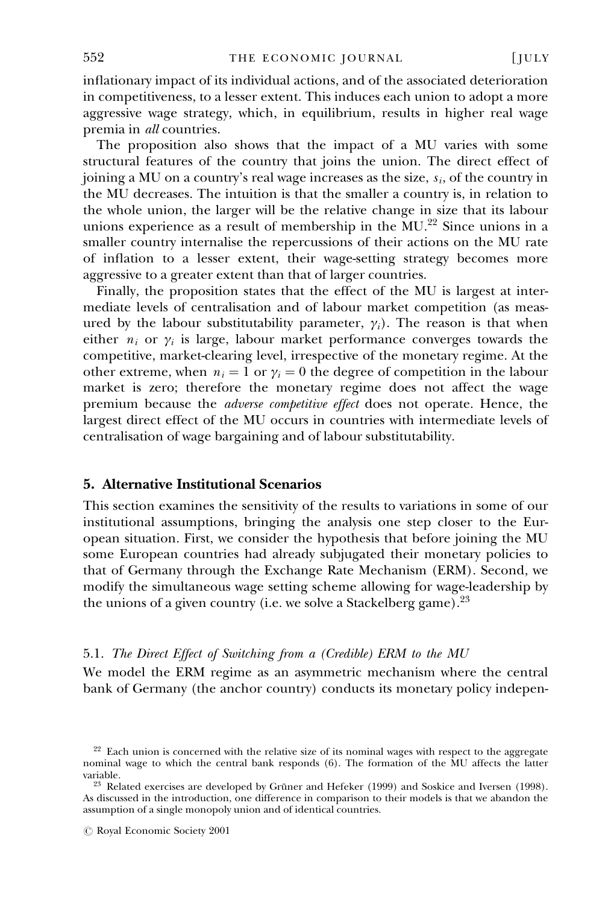inflationary impact of its individual actions, and of the associated deterioration in competitiveness, to a lesser extent. This induces each union to adopt a more aggressive wage strategy, which, in equilibrium, results in higher real wage premia in all countries.

The proposition also shows that the impact of a MU varies with some structural features of the country that joins the union. The direct effect of joining a MU on a country's real wage increases as the size,  $s_i$ , of the country in the MU decreases. The intuition is that the smaller a country is, in relation to the whole union, the larger will be the relative change in size that its labour unions experience as a result of membership in the MU.<sup>22</sup> Since unions in a smaller country internalise the repercussions of their actions on the MU rate of inflation to a lesser extent, their wage-setting strategy becomes more aggressive to a greater extent than that of larger countries.

Finally, the proposition states that the effect of the MU is largest at intermediate levels of centralisation and of labour market competition (as measured by the labour substitutability parameter,  $\gamma_i$ ). The reason is that when either  $n_i$  or  $\gamma_i$  is large, labour market performance converges towards the competitive, market-clearing level, irrespective of the monetary regime. At the other extreme, when  $n_i = 1$  or  $\gamma_i = 0$  the degree of competition in the labour market is zero; therefore the monetary regime does not affect the wage premium because the *adverse competitive effect* does not operate. Hence, the largest direct effect of the MU occurs in countries with intermediate levels of centralisation of wage bargaining and of labour substitutability.

### 5. Alternative Institutional Scenarios

This section examines the sensitivity of the results to variations in some of our institutional assumptions, bringing the analysis one step closer to the European situation. First, we consider the hypothesis that before joining the MU some European countries had already subjugated their monetary policies to that of Germany through the Exchange Rate Mechanism (ERM). Second, we modify the simultaneous wage setting scheme allowing for wage-leadership by the unions of a given country (i.e. we solve a Stackelberg game).  $2<sup>3</sup>$ 

### 5.1. The Direct Effect of Switching from a (Credible) ERM to the MU

We model the ERM regime as an asymmetric mechanism where the central bank of Germany (the anchor country) conducts its monetary policy indepen-

 $22$  Each union is concerned with the relative size of its nominal wages with respect to the aggregate nominal wage to which the central bank responds (6). The formation of the MU affects the latter variable.<br><sup>23</sup> Related exercises are developed by Grüner and Hefeker (1999) and Soskice and Iversen (1998).

As discussed in the introduction, one difference in comparison to their models is that we abandon the assumption of a single monopoly union and of identical countries.

 $\oslash$  Royal Economic Society 2001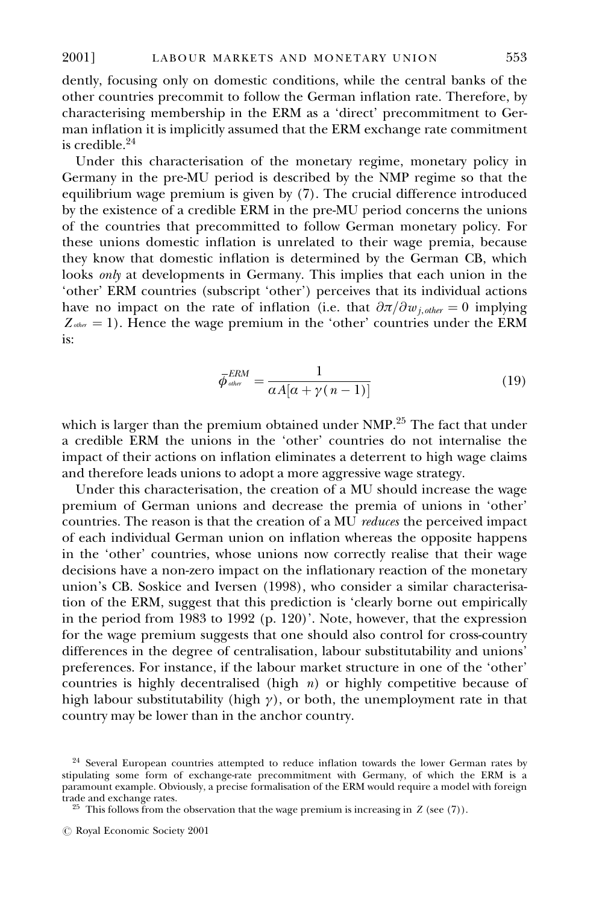dently, focusing only on domestic conditions, while the central banks of the other countries precommit to follow the German inflation rate. Therefore, by characterising membership in the ERM as a 'direct' precommitment to German inflation it is implicitly assumed that the ERM exchange rate commitment is credible. $24$ 

Under this characterisation of the monetary regime, monetary policy in Germany in the pre-MU period is described by the NMP regime so that the equilibrium wage premium is given by (7). The crucial difference introduced by the existence of a credible ERM in the pre-MU period concerns the unions of the countries that precommitted to follow German monetary policy. For these unions domestic inflation is unrelated to their wage premia, because they know that domestic inflation is determined by the German CB, which looks *only* at developments in Germany. This implies that each union in the `other' ERM countries (subscript `other') perceives that its individual actions have no impact on the rate of inflation (i.e. that  $\partial \pi / \partial w_{i,other} = 0$  implying  $Z_{\text{other}} = 1$ ). Hence the wage premium in the 'other' countries under the ERM is:

$$
\bar{\phi}_{\textit{other}}^{\textit{ERM}} = \frac{1}{\alpha A[\alpha + \gamma(n-1)]} \tag{19}
$$

which is larger than the premium obtained under NMP.<sup>25</sup> The fact that under a credible ERM the unions in the `other' countries do not internalise the impact of their actions on inflation eliminates a deterrent to high wage claims and therefore leads unions to adopt a more aggressive wage strategy.

Under this characterisation, the creation of a MU should increase the wage premium of German unions and decrease the premia of unions in `other' countries. The reason is that the creation of a MU reduces the perceived impact of each individual German union on inflation whereas the opposite happens in the `other' countries, whose unions now correctly realise that their wage decisions have a non-zero impact on the inflationary reaction of the monetary union's CB. Soskice and Iversen (1998), who consider a similar characterisation of the ERM, suggest that this prediction is `clearly borne out empirically in the period from 1983 to 1992 (p. 120)'. Note, however, that the expression for the wage premium suggests that one should also control for cross-country differences in the degree of centralisation, labour substitutability and unions' preferences. For instance, if the labour market structure in one of the `other' countries is highly decentralised (high  $n$ ) or highly competitive because of high labour substitutability (high  $\gamma$ ), or both, the unemployment rate in that country may be lower than in the anchor country.

 $24$  Several European countries attempted to reduce inflation towards the lower German rates by stipulating some form of exchange-rate precommitment with Germany, of which the ERM is a paramount example. Obviously, a precise formalisation of the ERM would require a model with foreign trade and exchange rates. 25 This follows from the observation that the wage premium is increasing in  $Z$  (see (7)).

 $\oslash$  Royal Economic Society 2001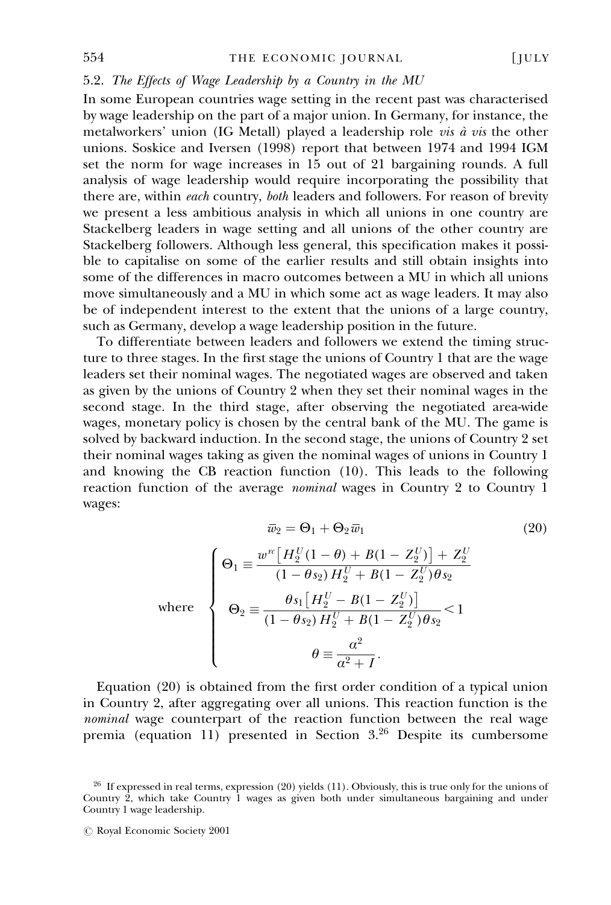# 5.2. The Effects of Wage Leadership by a Country in the MU

In some European countries wage setting in the recent past was characterised by wage leadership on the part of a major union. In Germany, for instance, the metalworkers' union (IG Metall) played a leadership role *vis à vis* the other unions. Soskice and Iversen (1998) report that between 1974 and 1994 IGM set the norm for wage increases in 15 out of 21 bargaining rounds. A full analysis of wage leadership would require incorporating the possibility that there are, within each country, both leaders and followers. For reason of brevity we present a less ambitious analysis in which all unions in one country are Stackelberg leaders in wage setting and all unions of the other country are Stackelberg followers. Although less general, this specification makes it possible to capitalise on some of the earlier results and still obtain insights into some of the differences in macro outcomes between a MU in which all unions move simultaneously and a MU in which some act as wage leaders. It may also be of independent interest to the extent that the unions of a large country, such as Germany, develop a wage leadership position in the future.

To differentiate between leaders and followers we extend the timing structure to three stages. In the first stage the unions of Country 1 that are the wage leaders set their nominal wages. The negotiated wages are observed and taken as given by the unions of Country 2 when they set their nominal wages in the second stage. In the third stage, after observing the negotiated area-wide wages, monetary policy is chosen by the central bank of the MU. The game is solved by backward induction. In the second stage, the unions of Country 2 set their nominal wages taking as given the nominal wages of unions in Country 1 and knowing the CB reaction function (10). This leads to the following reaction function of the average nominal wages in Country 2 to Country 1 wages:

$$
\overline{w}_2 = \Theta_1 + \Theta_2 \overline{w}_1
$$
\n(20)  
\n
$$
\Theta_1 \equiv \frac{w'' \left[H_2^U (1 - \theta) + B(1 - Z_2^U)\right] + Z_2^U}{(1 - \theta s_2) H_2^U + B(1 - Z_2^U) \theta s_2}
$$
\nwhere  
\n
$$
\Theta_2 \equiv \frac{\theta s_1 \left[H_2^U - B(1 - Z_2^U)\right]}{(1 - \theta s_2) H_2^U + B(1 - Z_2^U) \theta s_2} < 1
$$
\n
$$
\theta \equiv \frac{\alpha^2}{\alpha^2 + I}.
$$
\n(20)

Equation (20) is obtained from the first order condition of a typical union in Country 2, after aggregating over all unions. This reaction function is the nominal wage counterpart of the reaction function between the real wage premia (equation 11) presented in Section 3.<sup>26</sup> Despite its cumbersome

 $26$  If expressed in real terms, expression (20) yields (11). Obviously, this is true only for the unions of Country 2, which take Country 1 wages as given both under simultaneous bargaining and under Country 1 wage leadership.

 $\oslash$  Royal Economic Society 2001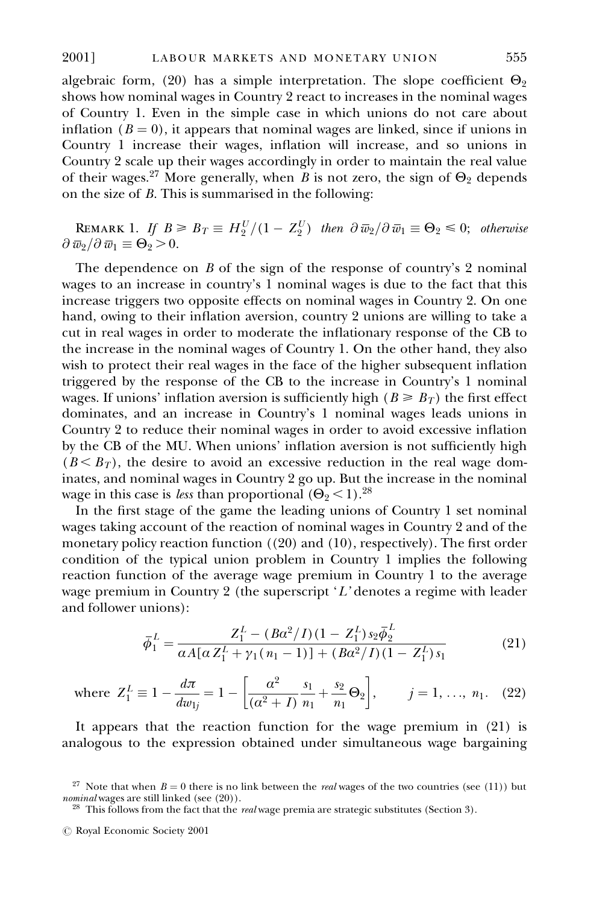algebraic form, (20) has a simple interpretation. The slope coefficient  $\Theta_2$ shows how nominal wages in Country 2 react to increases in the nominal wages of Country 1. Even in the simple case in which unions do not care about inflation  $(B = 0)$ , it appears that nominal wages are linked, since if unions in Country 1 increase their wages, inflation will increase, and so unions in Country 2 scale up their wages accordingly in order to maintain the real value of their wages.<sup>27</sup> More generally, when B is not zero, the sign of  $\Theta_2$  depends on the size of B. This is summarised in the following:

REMARK 1. If  $B \geq B_T \equiv H_2^U/(1 - Z_2^U)$  then  $\partial \overline{\omega}_2/\partial \overline{\omega}_1 \equiv \Theta_2 \leq 0$ ; otherwise  $\frac{\partial \overline{w}_2}{\partial \overline{w}_1} \equiv \Theta_2 > 0.$ 

The dependence on  $B$  of the sign of the response of country's 2 nominal wages to an increase in country's 1 nominal wages is due to the fact that this increase triggers two opposite effects on nominal wages in Country 2. On one hand, owing to their inflation aversion, country 2 unions are willing to take a cut in real wages in order to moderate the inflationary response of the CB to the increase in the nominal wages of Country 1. On the other hand, they also wish to protect their real wages in the face of the higher subsequent inflation triggered by the response of the CB to the increase in Country's 1 nominal wages. If unions' inflation aversion is sufficiently high ( $B \ge B_T$ ) the first effect dominates, and an increase in Country's 1 nominal wages leads unions in Country 2 to reduce their nominal wages in order to avoid excessive inflation by the CB of the MU. When unions' inflation aversion is not sufficiently high  $(B < B_T)$ , the desire to avoid an excessive reduction in the real wage dominates, and nominal wages in Country 2 go up. But the increase in the nominal wage in this case is less than proportional  $(\Theta_2 < 1).^{28}$ 

In the first stage of the game the leading unions of Country  $1$  set nominal wages taking account of the reaction of nominal wages in Country 2 and of the monetary policy reaction function  $((20)$  and  $(10)$ , respectively). The first order condition of the typical union problem in Country 1 implies the following reaction function of the average wage premium in Country 1 to the average wage premium in Country 2 (the superscript  $L'$  denotes a regime with leader and follower unions):

$$
\bar{\phi}_1^L = \frac{Z_1^L - (B\alpha^2/I)(1 - Z_1^L)s_2\bar{\phi}_2^L}{\alpha A[\alpha Z_1^L + \gamma_1(n_1 - 1)] + (B\alpha^2/I)(1 - Z_1^L)s_1}
$$
(21)

where 
$$
Z_1^L \equiv 1 - \frac{d\pi}{dw_{1j}} = 1 - \left[ \frac{\alpha^2}{(\alpha^2 + I)} \frac{s_1}{n_1} + \frac{s_2}{n_1} \Theta_2 \right], \qquad j = 1, ..., n_1.
$$
 (22)

It appears that the reaction function for the wage premium in (21) is analogous to the expression obtained under simultaneous wage bargaining

<sup>&</sup>lt;sup>27</sup> Note that when  $B = 0$  there is no link between the *real* wages of the two countries (see (11)) but nominal wages are still linked (see  $(20)$ ).<br><sup>28</sup> This follows from the fact that the *real* wage premia are strategic substitutes (Section 3).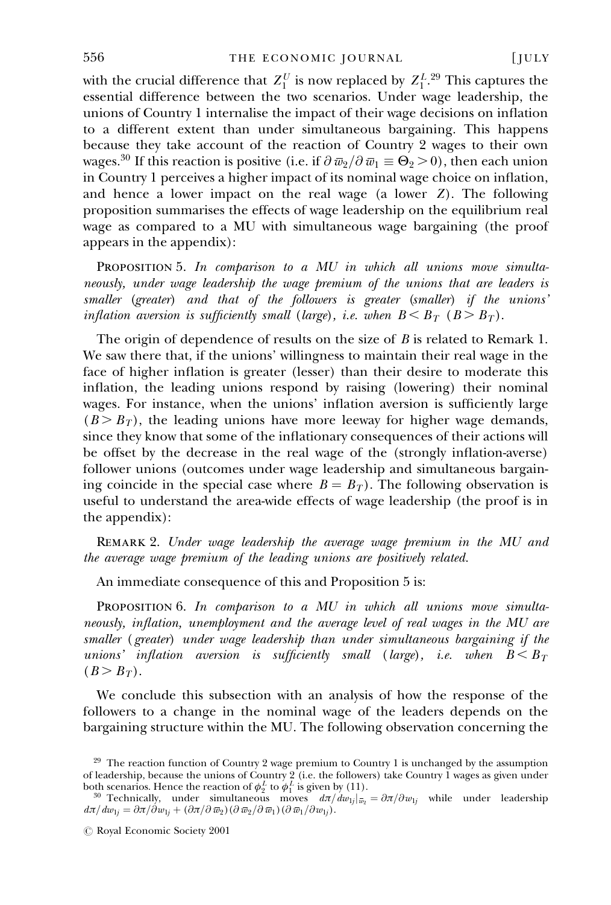with the crucial difference that  $Z_1^U$  is now replaced by  $Z_1^{L,29}$  This captures the essential difference between the two scenarios. Under wage leadership, the unions of Country 1 internalise the impact of their wage decisions on inflation to a different extent than under simultaneous bargaining. This happens because they take account of the reaction of Country 2 wages to their own wages.<sup>30</sup> If this reaction is positive (i.e. if  $\partial \overline{w}_2/\partial \overline{w}_1 \equiv \Theta_2 > 0$ ), then each union in Country 1 perceives a higher impact of its nominal wage choice on inflation, and hence a lower impact on the real wage (a lower Z). The following proposition summarises the effects of wage leadership on the equilibrium real wage as compared to a MU with simultaneous wage bargaining (the proof appears in the appendix):

PROPOSITION 5. In comparison to a MU in which all unions move simultaneously, under wage leadership the wage premium of the unions that are leaders is smaller (greater) and that of the followers is greater (smaller) if the unions' inflation aversion is sufficiently small (large), i.e. when  $B \leq B_T$  ( $B > B_T$ ).

The origin of dependence of results on the size of B is related to Remark 1. We saw there that, if the unions' willingness to maintain their real wage in the face of higher inflation is greater (lesser) than their desire to moderate this inflation, the leading unions respond by raising (lowering) their nominal wages. For instance, when the unions' inflation aversion is sufficiently large  $(B > B_T)$ , the leading unions have more leeway for higher wage demands, since they know that some of the inflationary consequences of their actions will be offset by the decrease in the real wage of the  $(\text{strongly inflation-averse})$ follower unions (outcomes under wage leadership and simultaneous bargaining coincide in the special case where  $B = B_T$ ). The following observation is useful to understand the area-wide effects of wage leadership (the proof is in the appendix):

REMARK 2. Under wage leadership the average wage premium in the MU and the average wage premium of the leading unions are positively related.

An immediate consequence of this and Proposition 5 is:

PROPOSITION 6. In comparison to a MU in which all unions move simultaneously, inflation, unemployment and the average level of real wages in the MU are smaller (greater) under wage leadership than under simultaneous bargaining if the unions' inflation aversion is sufficiently small (large), i.e. when  $B \leq B_T$  $(B > B_T).$ 

We conclude this subsection with an analysis of how the response of the followers to a change in the nominal wage of the leaders depends on the bargaining structure within the MU. The following observation concerning the

 $29$  The reaction function of Country 2 wage premium to Country 1 is unchanged by the assumption of leadership, because the unions of Country 2 (i.e. the followers) take Country 1 wages as given under both scenarios. Hence the reaction of  $\phi_2^L$  to  $\phi_1^L$  is given by (11).<br><sup>30</sup> Technically, under simultaneous moves  $d\pi/dw_{1j}|_{\bar{w}_2} = \partial \pi/\partial w_{1j}$  while under leadership

 $d\pi/dw_{1j} = \partial\pi/\partial w_{1j} + (\partial\pi/\partial \bar{w}_2)(\partial \bar{w}_2/\partial \bar{w}_1)(\partial \bar{w}_1/\partial w_{1j}).$ 

 $\oslash$  Royal Economic Society 2001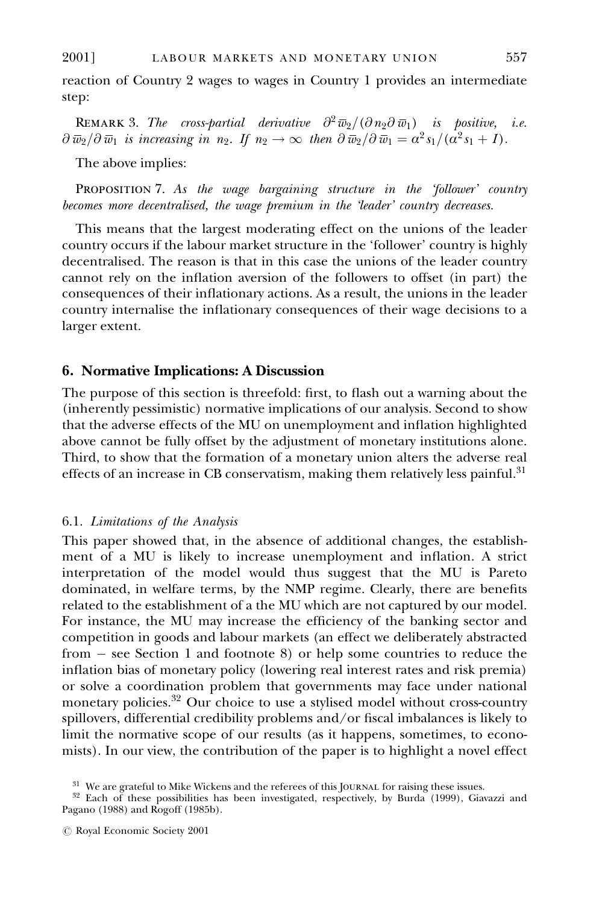reaction of Country 2 wages to wages in Country 1 provides an intermediate step:

REMARK 3. The cross-partial derivative  $\partial^2 \overline{w}_2/(\partial n_2 \partial \overline{w}_1)$  is positive, i.e.  $\partial \overline{w}_2/\partial \overline{w}_1$  is increasing in  $n_2$ . If  $n_2 \to \infty$  then  $\partial \overline{w}_2/\partial \overline{w}_1=\alpha^2 s_1/(\alpha^2 s_1 + I)$ .

The above implies:

PROPOSITION 7. As the wage bargaining structure in the 'follower' country becomes more decentralised, the wage premium in the 'leader' country decreases.

This means that the largest moderating effect on the unions of the leader country occurs if the labour market structure in the `follower' country is highly decentralised. The reason is that in this case the unions of the leader country cannot rely on the inflation aversion of the followers to offset (in part) the consequences of their inflationary actions. As a result, the unions in the leader country internalise the inflationary consequences of their wage decisions to a larger extent.

### 6. Normative Implications: A Discussion

The purpose of this section is threefold: first, to flash out a warning about the (inherently pessimistic) normative implications of our analysis. Second to show that the adverse effects of the MU on unemployment and inflation highlighted above cannot be fully offset by the adjustment of monetary institutions alone. Third, to show that the formation of a monetary union alters the adverse real effects of an increase in CB conservatism, making them relatively less painful. $31$ 

### 6.1. Limitations of the Analysis

This paper showed that, in the absence of additional changes, the establishment of a MU is likely to increase unemployment and inflation. A strict interpretation of the model would thus suggest that the MU is Pareto dominated, in welfare terms, by the NMP regime. Clearly, there are benefits related to the establishment of a the MU which are not captured by our model. For instance, the MU may increase the efficiency of the banking sector and competition in goods and labour markets (an effect we deliberately abstracted from  $-$  see Section 1 and footnote 8) or help some countries to reduce the inflation bias of monetary policy (lowering real interest rates and risk premia) or solve a coordination problem that governments may face under national monetary policies.<sup>32</sup> Our choice to use a stylised model without cross-country spillovers, differential credibility problems and/or fiscal imbalances is likely to limit the normative scope of our results (as it happens, sometimes, to economists). In our view, the contribution of the paper is to highlight a novel effect

<sup>&</sup>lt;sup>31</sup> We are grateful to Mike Wickens and the referees of this JOURNAL for raising these issues.<br><sup>32</sup> Each of these possibilities has been investigated, respectively, by Burda (1999), Giavazzi and Pagano (1988) and Rogoff (1985b).

 $\oslash$  Royal Economic Society 2001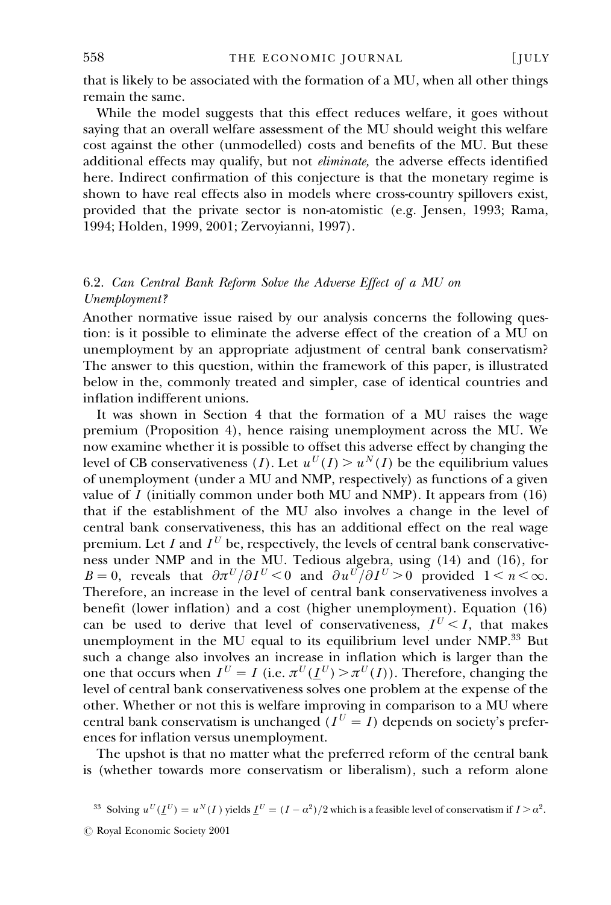that is likely to be associated with the formation of a MU, when all other things remain the same.

While the model suggests that this effect reduces welfare, it goes without saying that an overall welfare assessment of the MU should weight this welfare cost against the other (unmodelled) costs and benefits of the MU. But these additional effects may qualify, but not *eliminate*, the adverse effects identified here. Indirect confirmation of this conjecture is that the monetary regime is shown to have real effects also in models where cross-country spillovers exist, provided that the private sector is non-atomistic (e.g. Jensen, 1993; Rama, 1994; Holden, 1999, 2001; Zervoyianni, 1997).

# 6.2. Can Central Bank Reform Solve the Adverse Effect of a MU on Unemployment?

Another normative issue raised by our analysis concerns the following question: is it possible to eliminate the adverse effect of the creation of a MU on unemployment by an appropriate adjustment of central bank conservatism? The answer to this question, within the framework of this paper, is illustrated below in the, commonly treated and simpler, case of identical countries and inflation indifferent unions.

It was shown in Section 4 that the formation of a MU raises the wage premium (Proposition 4), hence raising unemployment across the MU. We now examine whether it is possible to offset this adverse effect by changing the level of CB conservativeness (*I*). Let  $u^U(I) > u^N(I)$  be the equilibrium values of unemployment (under a MU and NMP, respectively) as functions of a given value of  $I$  (initially common under both MU and NMP). It appears from  $(16)$ that if the establishment of the MU also involves a change in the level of central bank conservativeness, this has an additional effect on the real wage premium. Let I and  $I^U$  be, respectively, the levels of central bank conservativeness under NMP and in the MU. Tedious algebra, using (14) and (16), for  $B = 0$ , reveals that  $\partial \pi^{U}/\partial I^{U} < 0$  and  $\partial u^{U}/\partial I^{U} > 0$  provided  $1 < n < \infty$ . Therefore, an increase in the level of central bank conservativeness involves a benefit (lower inflation) and a cost (higher unemployment). Equation (16) can be used to derive that level of conservativeness,  $I^U < I$ , that makes unemployment in the MU equal to its equilibrium level under NMP.<sup>33</sup> But such a change also involves an increase in inflation which is larger than the one that occurs when  $I^U = I$  (i.e.  $\pi^U(\underline{I}^U) > \pi^U(I)$ ). Therefore, changing the level of central bank conservativeness solves one problem at the expense of the other. Whether or not this is welfare improving in comparison to a MU where central bank conservatism is unchanged  $(I^U = I)$  depends on society's preferences for inflation versus unemployment.

The upshot is that no matter what the preferred reform of the central bank is (whether towards more conservatism or liberalism), such a reform alone

<sup>&</sup>lt;sup>33</sup> Solving  $u^U(\underline{I}^U) = u^N(I)$  yields  $\underline{I}^U = (I - \alpha^2)/2$  which is a feasible level of conservatism if  $I > \alpha^2$ .

 $\oslash$  Royal Economic Society 2001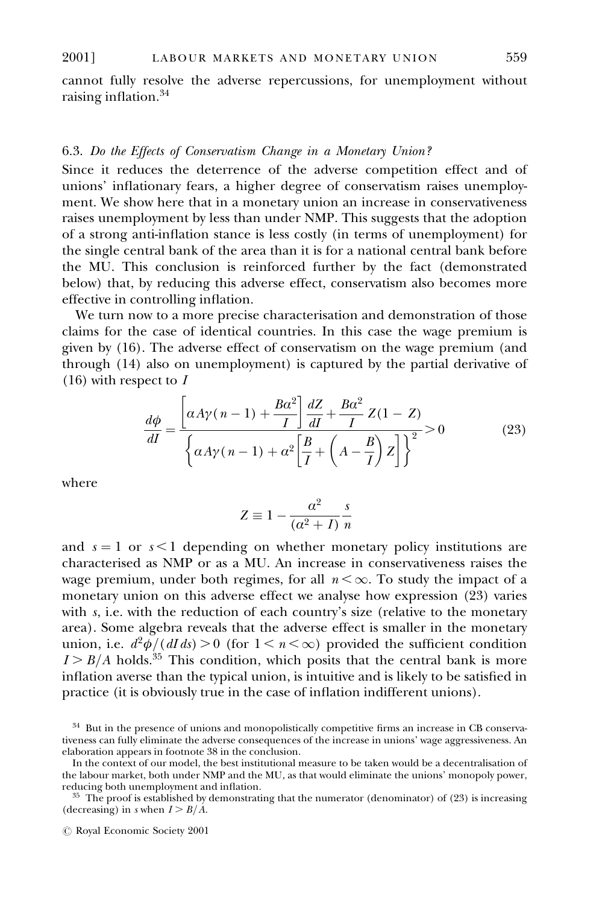cannot fully resolve the adverse repercussions, for unemployment without raising inflation.<sup>34</sup>

### 6.3. Do the Effects of Conservatism Change in a Monetary Union?

Since it reduces the deterrence of the adverse competition effect and of unions' inflationary fears, a higher degree of conservatism raises unemployment. We show here that in a monetary union an increase in conservativeness raises unemployment by less than under NMP. This suggests that the adoption of a strong anti-inflation stance is less costly (in terms of unemployment) for the single central bank of the area than it is for a national central bank before the MU. This conclusion is reinforced further by the fact (demonstrated below) that, by reducing this adverse effect, conservatism also becomes more effective in controlling inflation.

We turn now to a more precise characterisation and demonstration of those claims for the case of identical countries. In this case the wage premium is given by (16). The adverse effect of conservatism on the wage premium (and through (14) also on unemployment) is captured by the partial derivative of  $(16)$  with respect to I

$$
\frac{d\phi}{dI} = \frac{\left[\alpha A\gamma(n-1) + \frac{B\alpha^2}{I}\right] \frac{dZ}{dI} + \frac{B\alpha^2}{I} Z(1-Z)}{\left\{\alpha A\gamma(n-1) + \alpha^2 \left[\frac{B}{I} + \left(A - \frac{B}{I}\right)Z\right]\right\}^2} > 0
$$
\n(23)

where

$$
Z \equiv 1 - \frac{\alpha^2}{(\alpha^2 + I)} \frac{s}{n}
$$

and  $s = 1$  or  $s < 1$  depending on whether monetary policy institutions are characterised as NMP or as a MU. An increase in conservativeness raises the wage premium, under both regimes, for all  $n < \infty$ . To study the impact of a monetary union on this adverse effect we analyse how expression (23) varies with s, i.e. with the reduction of each country's size (relative to the monetary area). Some algebra reveals that the adverse effect is smaller in the monetary union, i.e.  $d^2\phi/(dI ds) > 0$  (for  $1 \le n \le \infty$ ) provided the sufficient condition  $I > B/A$  holds.<sup>35</sup> This condition, which posits that the central bank is more inflation averse than the typical union, is intuitive and is likely to be satisfied in practice (it is obviously true in the case of inflation indifferent unions).

 $34$  But in the presence of unions and monopolistically competitive firms an increase in CB conservativeness can fully eliminate the adverse consequences of the increase in unions' wage aggressiveness. An elaboration appears in footnote 38 in the conclusion.

In the context of our model, the best institutional measure to be taken would be a decentralisation of the labour market, both under NMP and the MU, as that would eliminate the unions' monopoly power, reducing both unemployment and inflation.<br><sup>35</sup> The proof is established by demonstrating that the numerator (denominator) of (23) is increasing

<sup>(</sup>decreasing) in s when  $I > B/A$ .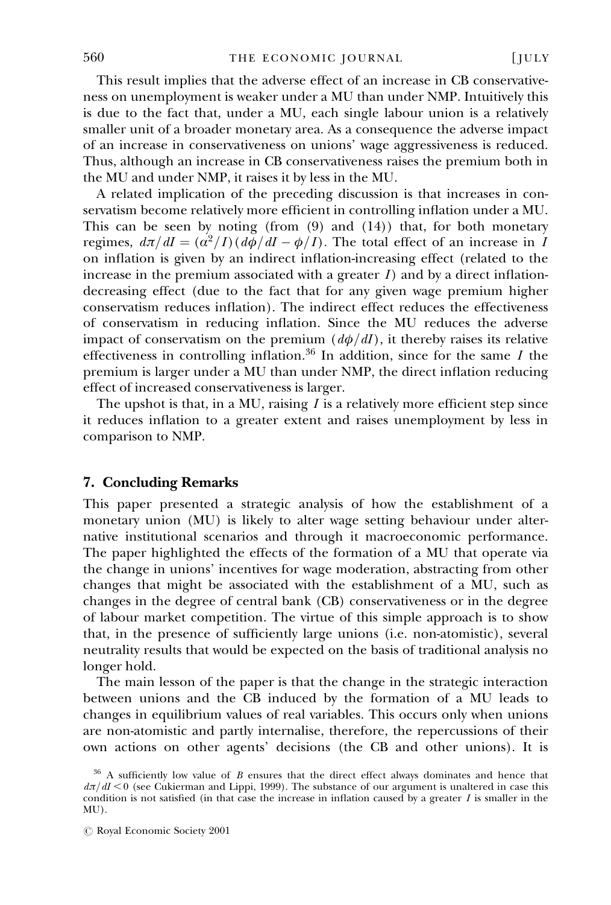This result implies that the adverse effect of an increase in CB conservativeness on unemployment is weaker under a MU than under NMP. Intuitively this is due to the fact that, under a MU, each single labour union is a relatively smaller unit of a broader monetary area. As a consequence the adverse impact of an increase in conservativeness on unions' wage aggressiveness is reduced. Thus, although an increase in CB conservativeness raises the premium both in the MU and under NMP, it raises it by less in the MU.

A related implication of the preceding discussion is that increases in conservatism become relatively more efficient in controlling inflation under a MU. This can be seen by noting (from  $(9)$  and  $(14)$ ) that, for both monetary regimes,  $d\pi/dI = (\alpha^2/I) (d\phi/dI - \phi/I)$ . The total effect of an increase in I on inflation is given by an indirect inflation-increasing effect (related to the increase in the premium associated with a greater  $I$ ) and by a direct inflationdecreasing effect (due to the fact that for any given wage premium higher conservatism reduces inflation). The indirect effect reduces the effectiveness of conservatism in reducing inflation. Since the MU reduces the adverse impact of conservatism on the premium  $(d\phi/dI)$ , it thereby raises its relative effectiveness in controlling inflation.<sup>36</sup> In addition, since for the same I the premium is larger under a MU than under NMP, the direct inflation reducing effect of increased conservativeness is larger.

The upshot is that, in a MU, raising  $I$  is a relatively more efficient step since it reduces inflation to a greater extent and raises unemployment by less in comparison to NMP.

### 7. Concluding Remarks

This paper presented a strategic analysis of how the establishment of a monetary union (MU) is likely to alter wage setting behaviour under alternative institutional scenarios and through it macroeconomic performance. The paper highlighted the effects of the formation of a MU that operate via the change in unions' incentives for wage moderation, abstracting from other changes that might be associated with the establishment of a MU, such as changes in the degree of central bank (CB) conservativeness or in the degree of labour market competition. The virtue of this simple approach is to show that, in the presence of sufficiently large unions (i.e. non-atomistic), several neutrality results that would be expected on the basis of traditional analysis no longer hold.

The main lesson of the paper is that the change in the strategic interaction between unions and the CB induced by the formation of a MU leads to changes in equilibrium values of real variables. This occurs only when unions are non-atomistic and partly internalise, therefore, the repercussions of their own actions on other agents' decisions (the CB and other unions). It is

 $36$  A sufficiently low value of B ensures that the direct effect always dominates and hence that  $d\pi/dI < 0$  (see Cukierman and Lippi, 1999). The substance of our argument is unaltered in case this condition is not satisfied (in that case the increase in inflation caused by a greater  $I$  is smaller in the MU).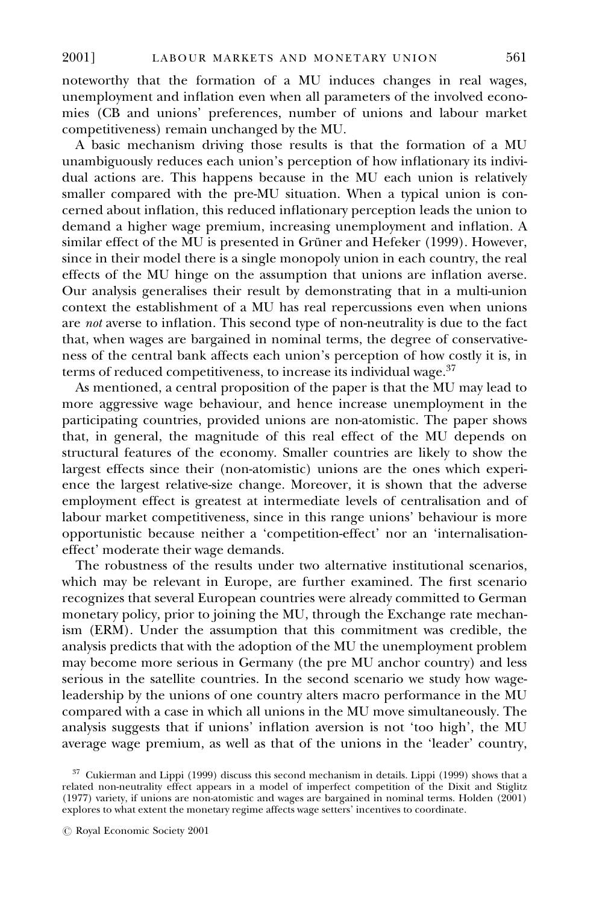noteworthy that the formation of a MU induces changes in real wages, unemployment and inflation even when all parameters of the involved economies (CB and unions' preferences, number of unions and labour market competitiveness) remain unchanged by the MU.

A basic mechanism driving those results is that the formation of a MU unambiguously reduces each union's perception of how inflationary its individual actions are. This happens because in the MU each union is relatively smaller compared with the pre-MU situation. When a typical union is concerned about inflation, this reduced inflationary perception leads the union to demand a higher wage premium, increasing unemployment and inflation. A similar effect of the MU is presented in Grüner and Hefeker (1999). However, since in their model there is a single monopoly union in each country, the real effects of the MU hinge on the assumption that unions are inflation averse. Our analysis generalises their result by demonstrating that in a multi-union context the establishment of a MU has real repercussions even when unions are *not* averse to inflation. This second type of non-neutrality is due to the fact that, when wages are bargained in nominal terms, the degree of conservativeness of the central bank affects each union's perception of how costly it is, in terms of reduced competitiveness, to increase its individual wage.<sup>37</sup>

As mentioned, a central proposition of the paper is that the MU may lead to more aggressive wage behaviour, and hence increase unemployment in the participating countries, provided unions are non-atomistic. The paper shows that, in general, the magnitude of this real effect of the MU depends on structural features of the economy. Smaller countries are likely to show the largest effects since their (non-atomistic) unions are the ones which experience the largest relative-size change. Moreover, it is shown that the adverse employment effect is greatest at intermediate levels of centralisation and of labour market competitiveness, since in this range unions' behaviour is more opportunistic because neither a `competition-effect' nor an `internalisationeffect' moderate their wage demands.

The robustness of the results under two alternative institutional scenarios, which may be relevant in Europe, are further examined. The first scenario recognizes that several European countries were already committed to German monetary policy, prior to joining the MU, through the Exchange rate mechanism (ERM). Under the assumption that this commitment was credible, the analysis predicts that with the adoption of the MU the unemployment problem may become more serious in Germany (the pre MU anchor country) and less serious in the satellite countries. In the second scenario we study how wageleadership by the unions of one country alters macro performance in the MU compared with a case in which all unions in the MU move simultaneously. The analysis suggests that if unions' inflation aversion is not 'too high', the MU average wage premium, as well as that of the unions in the `leader' country,

 $37$  Cukierman and Lippi (1999) discuss this second mechanism in details. Lippi (1999) shows that a related non-neutrality effect appears in a model of imperfect competition of the Dixit and Stiglitz (1977) variety, if unions are non-atomistic and wages are bargained in nominal terms. Holden (2001) explores to what extent the monetary regime affects wage setters' incentives to coordinate.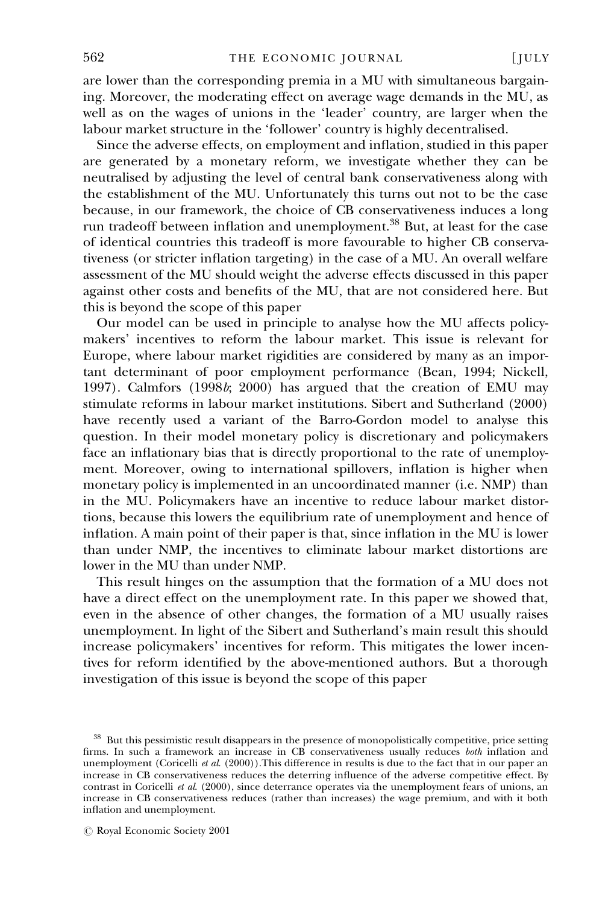are lower than the corresponding premia in a MU with simultaneous bargaining. Moreover, the moderating effect on average wage demands in the MU, as well as on the wages of unions in the `leader' country, are larger when the labour market structure in the 'follower' country is highly decentralised.

Since the adverse effects, on employment and inflation, studied in this paper are generated by a monetary reform, we investigate whether they can be neutralised by adjusting the level of central bank conservativeness along with the establishment of the MU. Unfortunately this turns out not to be the case because, in our framework, the choice of CB conservativeness induces a long run tradeoff between inflation and unemployment.<sup>38</sup> But, at least for the case of identical countries this tradeoff is more favourable to higher CB conservativeness (or stricter inflation targeting) in the case of a MU. An overall welfare assessment of the MU should weight the adverse effects discussed in this paper against other costs and benefits of the MU, that are not considered here. But this is beyond the scope of this paper

Our model can be used in principle to analyse how the MU affects policymakers' incentives to reform the labour market. This issue is relevant for Europe, where labour market rigidities are considered by many as an important determinant of poor employment performance (Bean, 1994; Nickell, 1997). Calmfors (1998b; 2000) has argued that the creation of EMU may stimulate reforms in labour market institutions. Sibert and Sutherland (2000) have recently used a variant of the Barro-Gordon model to analyse this question. In their model monetary policy is discretionary and policymakers face an inflationary bias that is directly proportional to the rate of unemployment. Moreover, owing to international spillovers, inflation is higher when monetary policy is implemented in an uncoordinated manner (i.e. NMP) than in the MU. Policymakers have an incentive to reduce labour market distortions, because this lowers the equilibrium rate of unemployment and hence of inflation. A main point of their paper is that, since inflation in the MU is lower than under NMP, the incentives to eliminate labour market distortions are lower in the MU than under NMP.

This result hinges on the assumption that the formation of a MU does not have a direct effect on the unemployment rate. In this paper we showed that, even in the absence of other changes, the formation of a MU usually raises unemployment. In light of the Sibert and Sutherland's main result this should increase policymakers' incentives for reform. This mitigates the lower incentives for reform identified by the above-mentioned authors. But a thorough investigation of this issue is beyond the scope of this paper

<sup>38</sup> But this pessimistic result disappears in the presence of monopolistically competitive, price setting firms. In such a framework an increase in CB conservativeness usually reduces both inflation and unemployment (Coricelli et al.  $(2000)$ ). This difference in results is due to the fact that in our paper an increase in CB conservativeness reduces the deterring influence of the adverse competitive effect. By contrast in Coricelli et al. (2000), since deterrance operates via the unemployment fears of unions, an increase in CB conservativeness reduces (rather than increases) the wage premium, and with it both inflation and unemployment.

 $\oslash$  Royal Economic Society 2001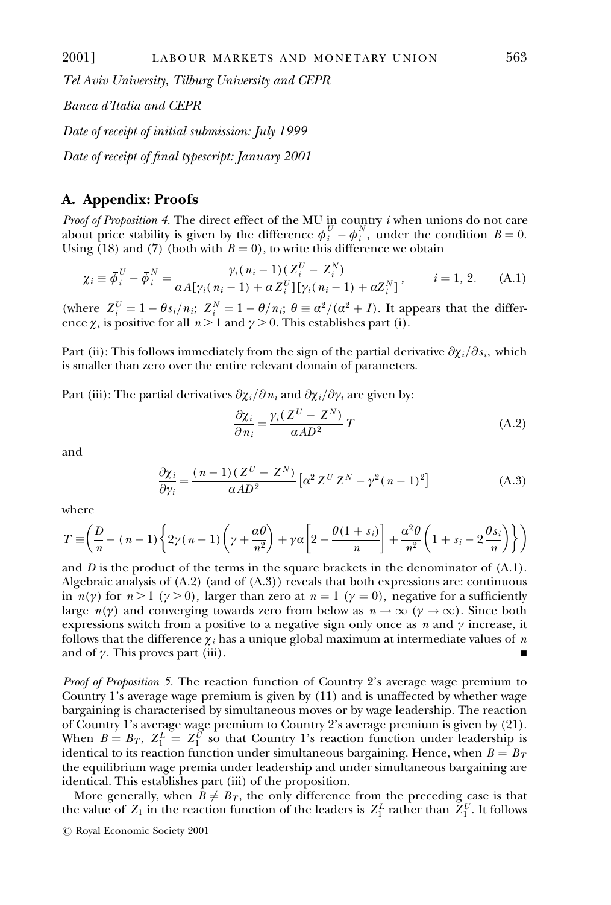Tel Aviv University, Tilburg University and CEPR

Banca d'Italia and CEPR

Date of receipt of initial submission: July 1999 Date of receipt of final typescript: January 2001

# A. Appendix: Proofs

Proof of Proposition 4. The direct effect of the MU in country  $i$  when unions do not care about price stability is given by the difference  $\overline{\phi}_i^U - \overline{\phi}_i^N$ , under the condition  $B = 0$ . Using (18) and (7) (both with  $B = 0$ ), to write this difference we obtain

$$
\chi_i \equiv \bar{\phi}_i^U - \bar{\phi}_i^N = \frac{\gamma_i (n_i - 1) (Z_i^U - Z_i^N)}{\alpha A[\gamma_i (n_i - 1) + \alpha Z_i^U][\gamma_i (n_i - 1) + \alpha Z_i^N]}, \qquad i = 1, 2. \tag{A.1}
$$

(where  $Z_i^U = 1 - \theta s_i/n_i$ ;  $Z_i^N = 1 - \theta/n_i$ ;  $\theta \equiv \frac{\alpha^2}{\alpha^2 + 1}$ . It appears that the difference  $\chi_i$  is positive for all  $n > 1$  and  $\gamma > 0$ . This establishes part (i).

Part (ii): This follows immediately from the sign of the partial derivative  $\partial \chi_i/\partial s_i$ , which is smaller than zero over the entire relevant domain of parameters.

Part (iii): The partial derivatives  $\partial \chi_i/\partial n_i$  and  $\partial \chi_i/\partial \gamma_i$  are given by:

$$
\frac{\partial \chi_i}{\partial n_i} = \frac{\gamma_i (Z^U - Z^N)}{\alpha A D^2} T
$$
 (A.2)

and

$$
\frac{\partial \chi_i}{\partial \gamma_i} = \frac{(n-1)(Z^U - Z^N)}{\alpha A D^2} \left[ \alpha^2 Z^U Z^N - \gamma^2 (n-1)^2 \right]
$$
 (A.3)

where

$$
T \equiv \left(\frac{D}{n} - (n-1)\left\{2\gamma(n-1)\left(\gamma + \frac{\alpha\theta}{n^2}\right) + \gamma\alpha\left[2 - \frac{\theta(1+s_i)}{n}\right] + \frac{\alpha^2\theta}{n^2}\left(1+s_i - 2\frac{\theta s_i}{n}\right)\right\}\right)
$$

and  $D$  is the product of the terms in the square brackets in the denominator of  $(A.1)$ . Algebraic analysis of  $(A.2)$  (and of  $(A.3)$ ) reveals that both expressions are: continuous in  $n(\gamma)$  for  $n > 1$  ( $\gamma > 0$ ), larger than zero at  $n = 1$  ( $\gamma = 0$ ), negative for a sufficiently large  $n(\gamma)$  and converging towards zero from below as  $n \to \infty$  ( $\gamma \to \infty$ ). Since both expressions switch from a positive to a negative sign only once as n and  $\gamma$  increase, it follows that the difference  $\chi_i$  has a unique global maximum at intermediate values of n and of  $\gamma$ . This proves part (iii).

Proof of Proposition 5. The reaction function of Country 2's average wage premium to Country 1's average wage premium is given by (11) and is unaffected by whether wage bargaining is characterised by simultaneous moves or by wage leadership. The reaction of Country 1's average wage premium to Country 2's average premium is given by (21). When  $B = B_T$ ,  $Z_1^L = Z_1^U$  so that Country 1's reaction function under leadership is identical to its reaction function under simultaneous bargaining. Hence, when  $B = B_T$ the equilibrium wage premia under leadership and under simultaneous bargaining are identical. This establishes part (iii) of the proposition.

More generally, when  $B \neq B_T$ , the only difference from the preceding case is that the value of  $Z_1$  in the reaction function of the leaders is  $Z_1^L$  rather than  $Z_1^U$ . It follows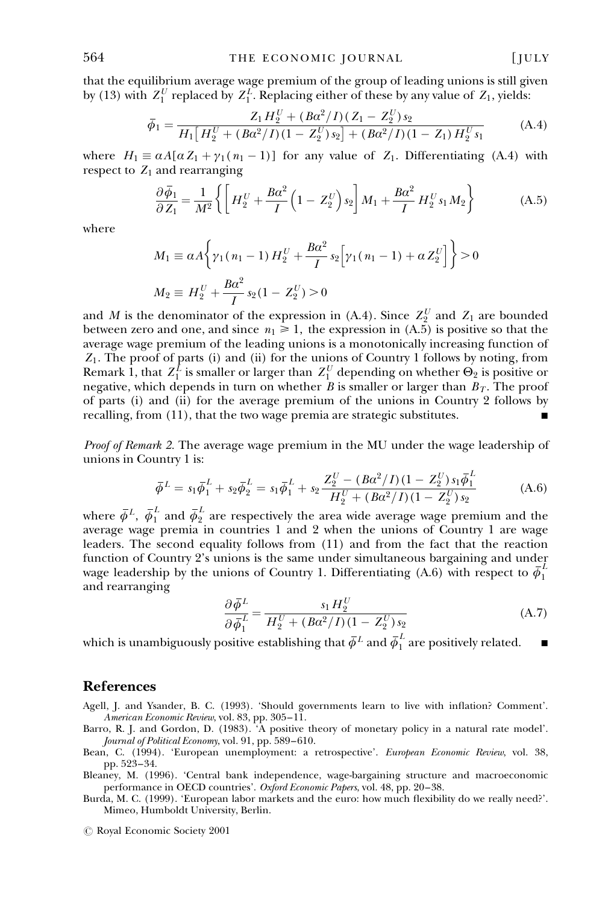that the equilibrium average wage premium of the group of leading unions is still given by (13) with  $Z_1^U$  replaced by  $Z_1^L$ . Replacing either of these by any value of  $Z_1$ , yields:

$$
\bar{\phi}_1 = \frac{Z_1 H_2^U + (Ba^2/I)(Z_1 - Z_2^U)s_2}{H_1[H_2^U + (Ba^2/I)(1 - Z_2^U)s_2] + (Ba^2/I)(1 - Z_1)H_2^U s_1}
$$
(A.4)

where  $H_1 \equiv \alpha A[\alpha Z_1 + \gamma_1(n_1 - 1)]$  for any value of  $Z_1$ . Differentiating (A.4) with respect to  $Z_1$  and rearranging

$$
\frac{\partial \bar{\phi}_1}{\partial Z_1} = \frac{1}{M^2} \left\{ \left[ H_2^U + \frac{B\alpha^2}{I} \left( 1 - Z_2^U \right) s_2 \right] M_1 + \frac{B\alpha^2}{I} H_2^U s_1 M_2 \right\}
$$
(A.5)

where

$$
M_1 \equiv \alpha A \left\{ \gamma_1(n_1 - 1) H_2^U + \frac{B\alpha^2}{I} s_2 \Big[ \gamma_1(n_1 - 1) + \alpha Z_2^U \Big] \right\} > 0
$$
  

$$
M_2 \equiv H_2^U + \frac{B\alpha^2}{I} s_2 (1 - Z_2^U) > 0
$$

and M is the denominator of the expression in (A.4). Since  $Z_2^U$  and  $Z_1$  are bounded between zero and one, and since  $n_1 \ge 1$ , the expression in (A.5) is positive so that the average wage premium of the leading unions is a monotonically increasing function of Z1. The proof of parts (i) and (ii) for the unions of Country 1 follows by noting, from Remark  $\bar{1}$ , that  $Z_1^L$  is smaller or larger than  $Z_1^U$  depending on whether  $\Theta_2$  is positive or negative, which depends in turn on whether  $\emph{B}$  is smaller or larger than  $\emph{B}_T.$  The proof of parts (i) and (ii) for the average premium of the unions in Country 2 follows by recalling, from  $(11)$ , that the two wage premia are strategic substitutes.

Proof of Remark 2. The average wage premium in the MU under the wage leadership of unions in Country 1 is:

$$
\bar{\phi}^{L} = s_1 \bar{\phi}_1^{L} + s_2 \bar{\phi}_2^{L} = s_1 \bar{\phi}_1^{L} + s_2 \frac{Z_2^{U} - (B\alpha^2/I)(1 - Z_2^{U})s_1 \bar{\phi}_1^{L}}{H_2^{U} + (B\alpha^2/I)(1 - Z_2^{U})s_2}
$$
(A.6)

where  $\bar{\phi}^L$ ,  $\bar{\phi}^L_1$  and  $\bar{\phi}^L_2$  are respectively the area wide average wage premium and the average wage premia in countries 1 and 2 when the unions of Country 1 are wage leaders. The second equality follows from (11) and from the fact that the reaction function of Country 2's unions is the same under simultaneous bargaining and under wage leadership by the unions of Country 1. Differentiating (A.6) with respect to  $\bar{\phi}_1^L$ and rearranging

$$
\frac{\partial \bar{\phi}^L}{\partial \bar{\phi}_1^L} = \frac{s_1 H_2^U}{H_2^U + (B\alpha^2/I)(1 - Z_2^U)s_2}
$$
(A.7)

which is unambiguously positive establishing that  $\bar{\phi}^L$  and  $\bar{\phi}_1^L$  are positively related.

#### References

- Agell, J. and Ysander, B. C. (1993). 'Should governments learn to live with inflation? Comment'. American Economic Review, vol. 83, pp. 305-11.
- Barro, R. J. and Gordon, D. (1983). `A positive theory of monetary policy in a natural rate model'. Journal of Political Economy, vol. 91, pp. 589-610.
- Bean, C. (1994). 'European unemployment: a retrospective'. European Economic Review, vol. 38, pp. 523-34.
- Bleaney, M. (1996). `Central bank independence, wage-bargaining structure and macroeconomic performance in OECD countries'. Oxford Economic Papers, vol. 48, pp. 20–38.
- Burda, M. C. (1999). 'European labor markets and the euro: how much flexibility do we really need?'. Mimeo, Humboldt University, Berlin.